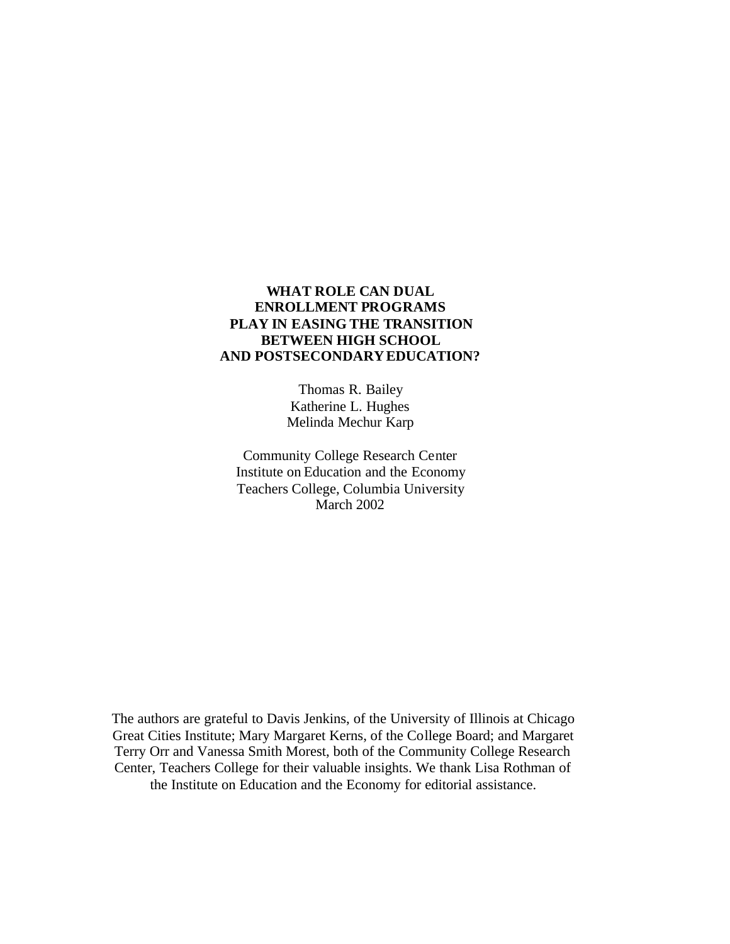## **WHAT ROLE CAN DUAL ENROLLMENT PROGRAMS PLAY IN EASING THE TRANSITION BETWEEN HIGH SCHOOL AND POSTSECONDARYEDUCATION?**

 Thomas R. Bailey Katherine L. Hughes Melinda Mechur Karp

 Community College Research Center Institute on Education and the Economy Teachers College, Columbia University March 2002

The authors are grateful to Davis Jenkins, of the University of Illinois at Chicago Great Cities Institute; Mary Margaret Kerns, of the College Board; and Margaret Terry Orr and Vanessa Smith Morest, both of the Community College Research Center, Teachers College for their valuable insights. We thank Lisa Rothman of the Institute on Education and the Economy for editorial assistance.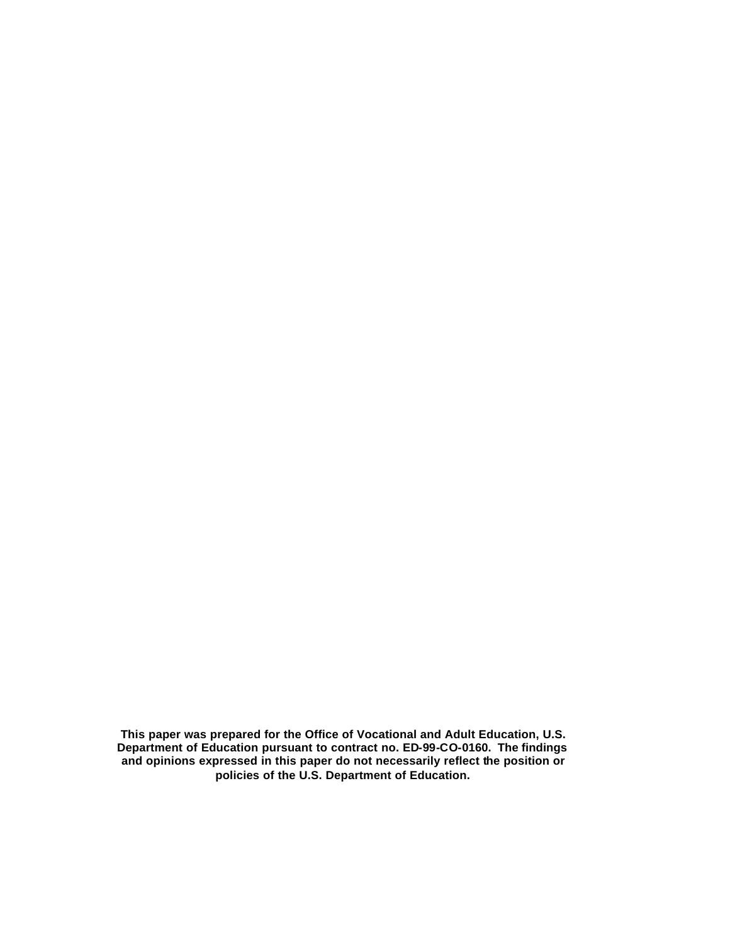**This paper was prepared for the Office of Vocational and Adult Education, U.S. Department of Education pursuant to contract no. ED-99-CO-0160. The findings and opinions expressed in this paper do not necessarily reflect the position or policies of the U.S. Department of Education.**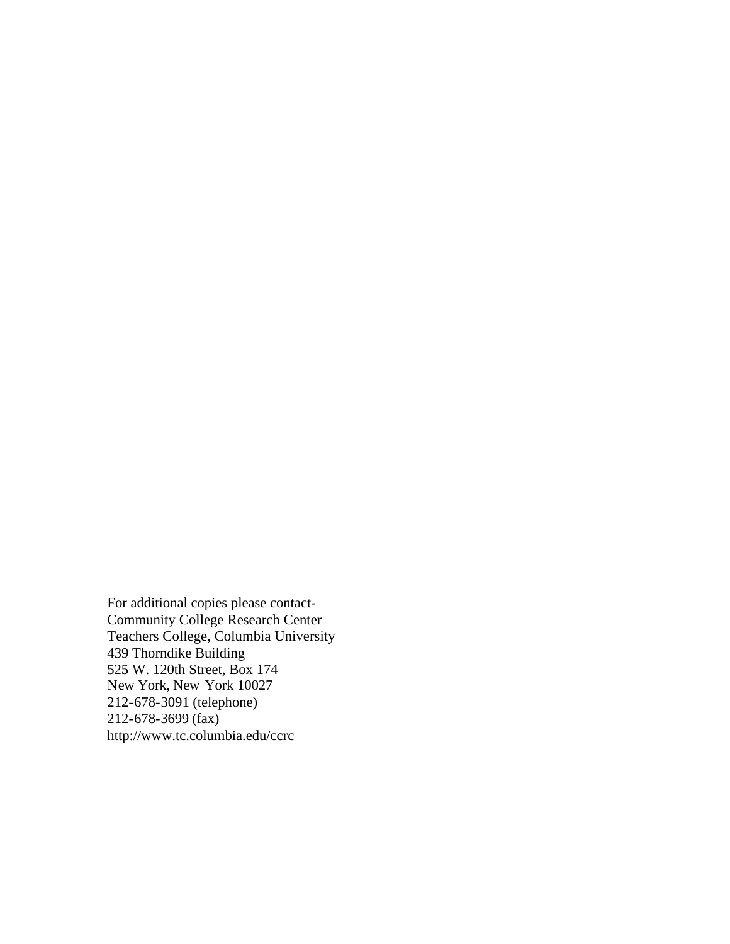For additional copies please contact-Community College Research Center Teachers College, Columbia University 439 Thorndike Building 525 W. 120th Street, Box 174 New York, New York 10027 212-678-3091 (telephone) 212-678-3699 (fax) http://www.tc.columbia.edu/ccrc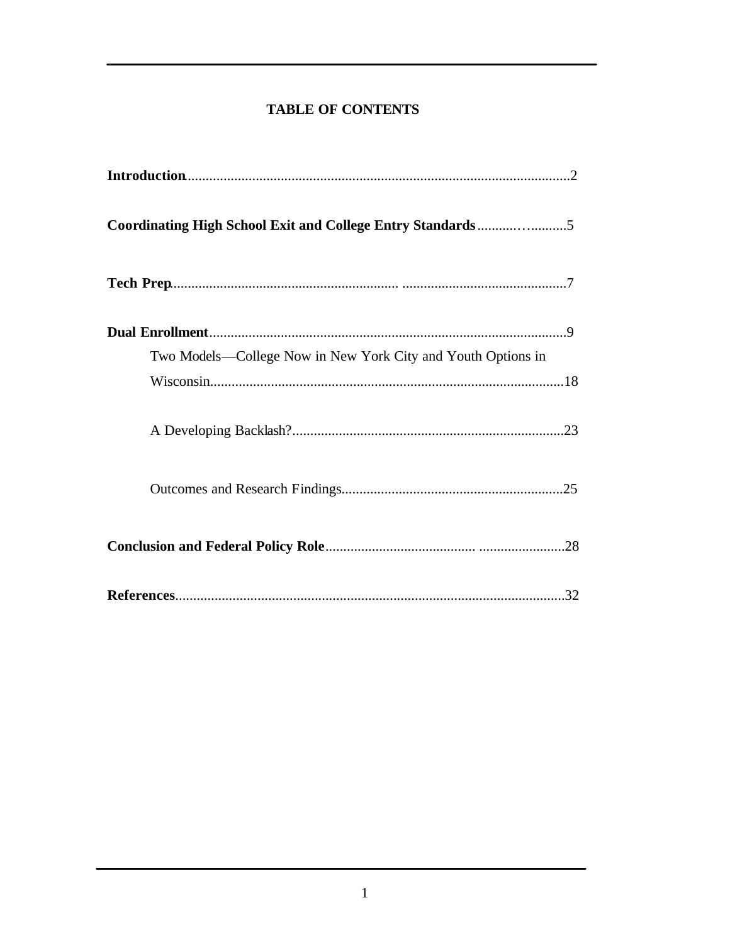# **TABLE OF CONTENTS**

| Two Models-College Now in New York City and Youth Options in |
|--------------------------------------------------------------|
|                                                              |
|                                                              |
|                                                              |
|                                                              |
|                                                              |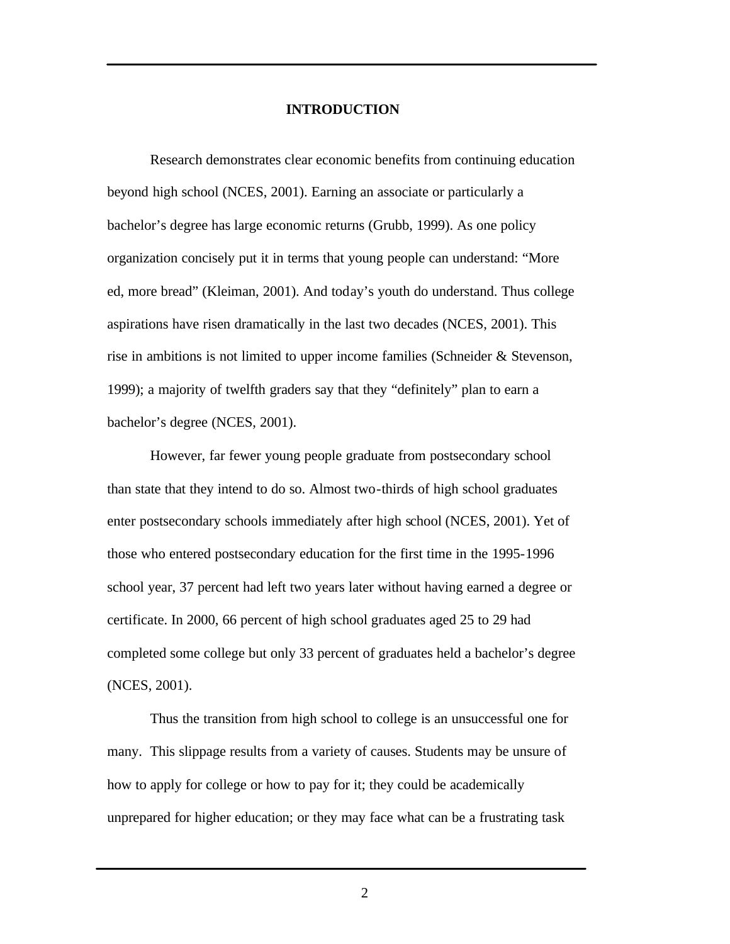#### **INTRODUCTION**

Research demonstrates clear economic benefits from continuing education beyond high school (NCES, 2001). Earning an associate or particularly a bachelor's degree has large economic returns (Grubb, 1999). As one policy organization concisely put it in terms that young people can understand: "More ed, more bread" (Kleiman, 2001). And today's youth do understand. Thus college aspirations have risen dramatically in the last two decades (NCES, 2001). This rise in ambitions is not limited to upper income families (Schneider & Stevenson, 1999); a majority of twelfth graders say that they "definitely" plan to earn a bachelor's degree (NCES, 2001).

However, far fewer young people graduate from postsecondary school than state that they intend to do so. Almost two-thirds of high school graduates enter postsecondary schools immediately after high school (NCES, 2001). Yet of those who entered postsecondary education for the first time in the 1995-1996 school year, 37 percent had left two years later without having earned a degree or certificate. In 2000, 66 percent of high school graduates aged 25 to 29 had completed some college but only 33 percent of graduates held a bachelor's degree (NCES, 2001).

Thus the transition from high school to college is an unsuccessful one for many. This slippage results from a variety of causes. Students may be unsure of how to apply for college or how to pay for it; they could be academically unprepared for higher education; or they may face what can be a frustrating task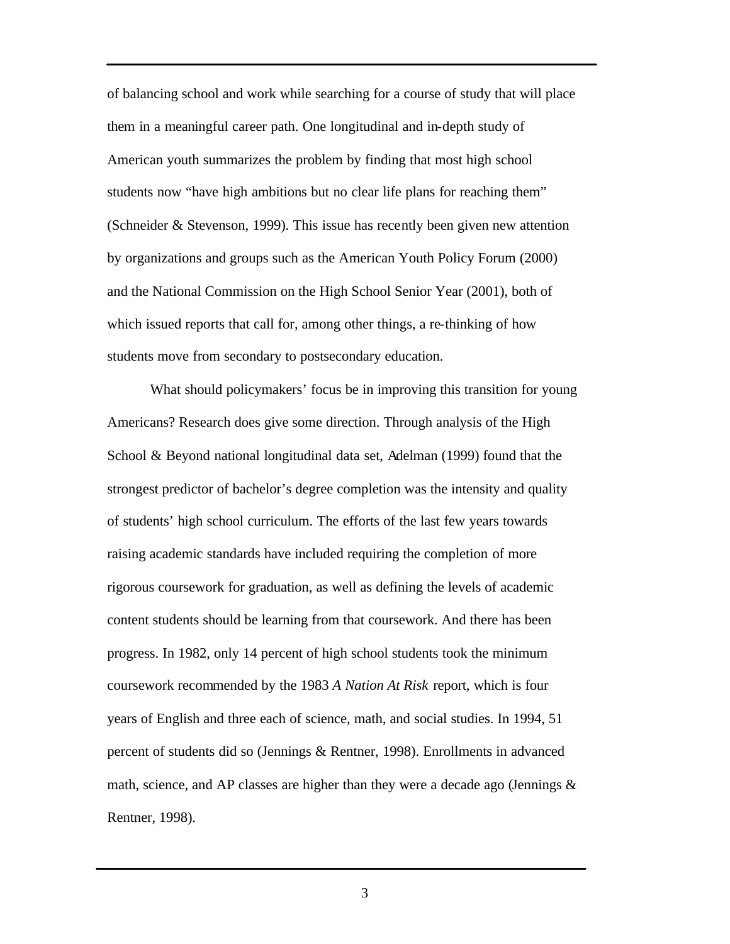of balancing school and work while searching for a course of study that will place them in a meaningful career path. One longitudinal and in-depth study of American youth summarizes the problem by finding that most high school students now "have high ambitions but no clear life plans for reaching them" (Schneider & Stevenson, 1999). This issue has recently been given new attention by organizations and groups such as the American Youth Policy Forum (2000) and the National Commission on the High School Senior Year (2001), both of which issued reports that call for, among other things, a re-thinking of how students move from secondary to postsecondary education.

What should policymakers' focus be in improving this transition for young Americans? Research does give some direction. Through analysis of the High School & Beyond national longitudinal data set, Adelman (1999) found that the strongest predictor of bachelor's degree completion was the intensity and quality of students' high school curriculum. The efforts of the last few years towards raising academic standards have included requiring the completion of more rigorous coursework for graduation, as well as defining the levels of academic content students should be learning from that coursework. And there has been progress. In 1982, only 14 percent of high school students took the minimum coursework recommended by the 1983 *A Nation At Risk* report, which is four years of English and three each of science, math, and social studies. In 1994, 51 percent of students did so (Jennings & Rentner, 1998). Enrollments in advanced math, science, and AP classes are higher than they were a decade ago (Jennings  $\&$ Rentner, 1998).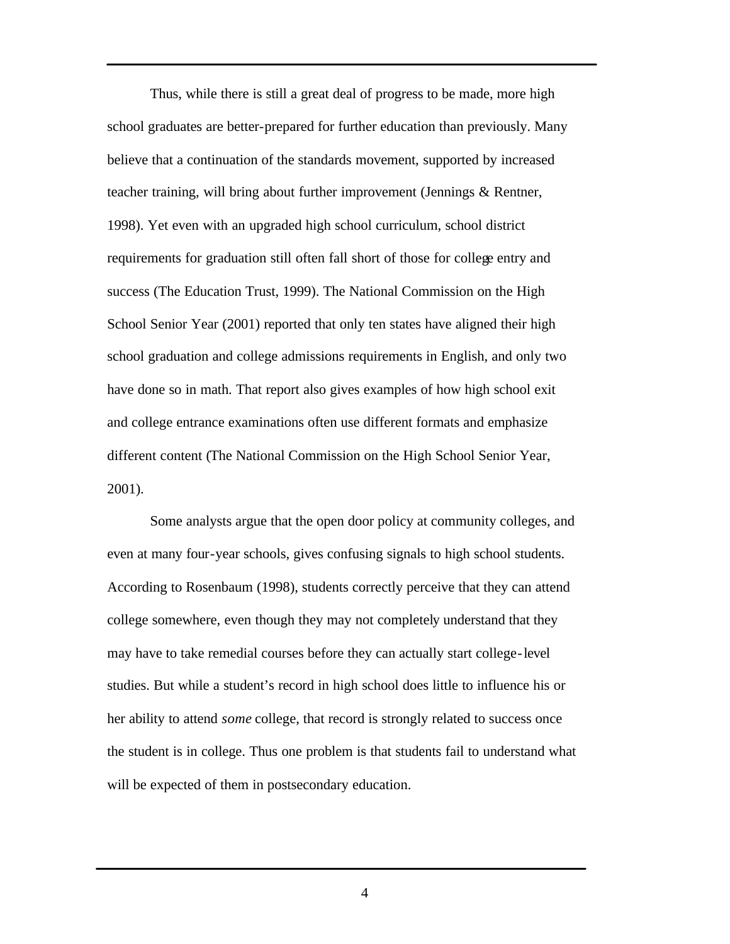Thus, while there is still a great deal of progress to be made, more high school graduates are better-prepared for further education than previously. Many believe that a continuation of the standards movement, supported by increased teacher training, will bring about further improvement (Jennings & Rentner, 1998). Yet even with an upgraded high school curriculum, school district requirements for graduation still often fall short of those for college entry and success (The Education Trust, 1999). The National Commission on the High School Senior Year (2001) reported that only ten states have aligned their high school graduation and college admissions requirements in English, and only two have done so in math. That report also gives examples of how high school exit and college entrance examinations often use different formats and emphasize different content (The National Commission on the High School Senior Year, 2001).

Some analysts argue that the open door policy at community colleges, and even at many four-year schools, gives confusing signals to high school students. According to Rosenbaum (1998), students correctly perceive that they can attend college somewhere, even though they may not completely understand that they may have to take remedial courses before they can actually start college-level studies. But while a student's record in high school does little to influence his or her ability to attend *some* college, that record is strongly related to success once the student is in college. Thus one problem is that students fail to understand what will be expected of them in postsecondary education.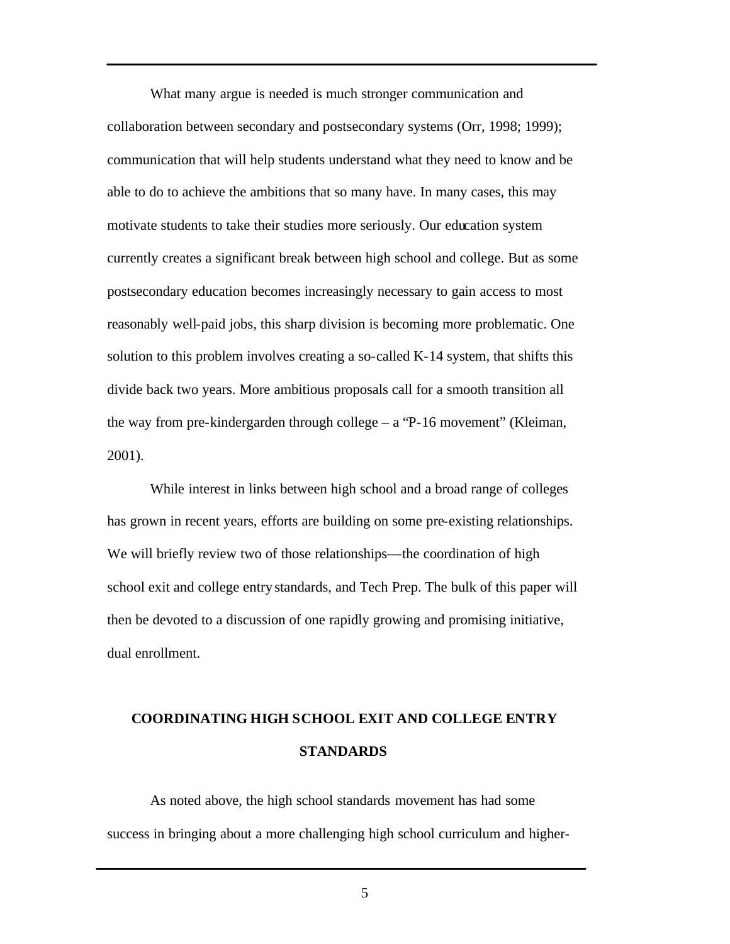What many argue is needed is much stronger communication and collaboration between secondary and postsecondary systems (Orr, 1998; 1999); communication that will help students understand what they need to know and be able to do to achieve the ambitions that so many have. In many cases, this may motivate students to take their studies more seriously. Our education system currently creates a significant break between high school and college. But as some postsecondary education becomes increasingly necessary to gain access to most reasonably well-paid jobs, this sharp division is becoming more problematic. One solution to this problem involves creating a so-called K-14 system, that shifts this divide back two years. More ambitious proposals call for a smooth transition all the way from pre-kindergarden through college – a "P-16 movement" (Kleiman, 2001).

While interest in links between high school and a broad range of colleges has grown in recent years, efforts are building on some pre-existing relationships. We will briefly review two of those relationships—the coordination of high school exit and college entry standards, and Tech Prep. The bulk of this paper will then be devoted to a discussion of one rapidly growing and promising initiative, dual enrollment.

# **COORDINATING HIGH SCHOOL EXIT AND COLLEGE ENTRY STANDARDS**

As noted above, the high school standards movement has had some success in bringing about a more challenging high school curriculum and higher-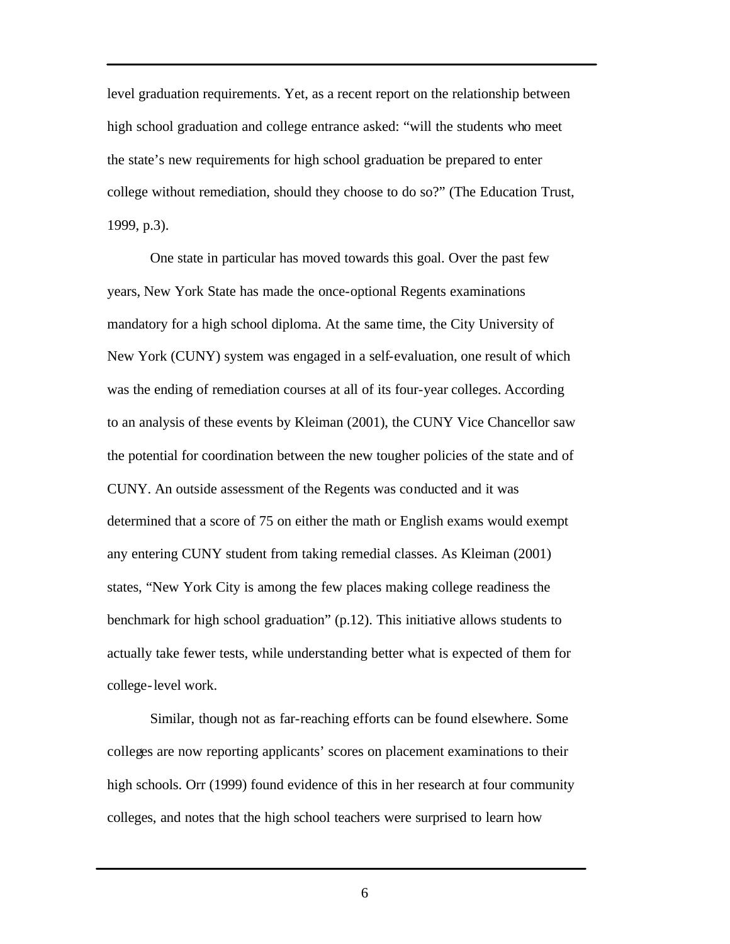level graduation requirements. Yet, as a recent report on the relationship between high school graduation and college entrance asked: "will the students who meet the state's new requirements for high school graduation be prepared to enter college without remediation, should they choose to do so?" (The Education Trust, 1999, p.3).

One state in particular has moved towards this goal. Over the past few years, New York State has made the once-optional Regents examinations mandatory for a high school diploma. At the same time, the City University of New York (CUNY) system was engaged in a self-evaluation, one result of which was the ending of remediation courses at all of its four-year colleges. According to an analysis of these events by Kleiman (2001), the CUNY Vice Chancellor saw the potential for coordination between the new tougher policies of the state and of CUNY. An outside assessment of the Regents was conducted and it was determined that a score of 75 on either the math or English exams would exempt any entering CUNY student from taking remedial classes. As Kleiman (2001) states, "New York City is among the few places making college readiness the benchmark for high school graduation" (p.12). This initiative allows students to actually take fewer tests, while understanding better what is expected of them for college-level work.

Similar, though not as far-reaching efforts can be found elsewhere. Some colleges are now reporting applicants' scores on placement examinations to their high schools. Orr (1999) found evidence of this in her research at four community colleges, and notes that the high school teachers were surprised to learn how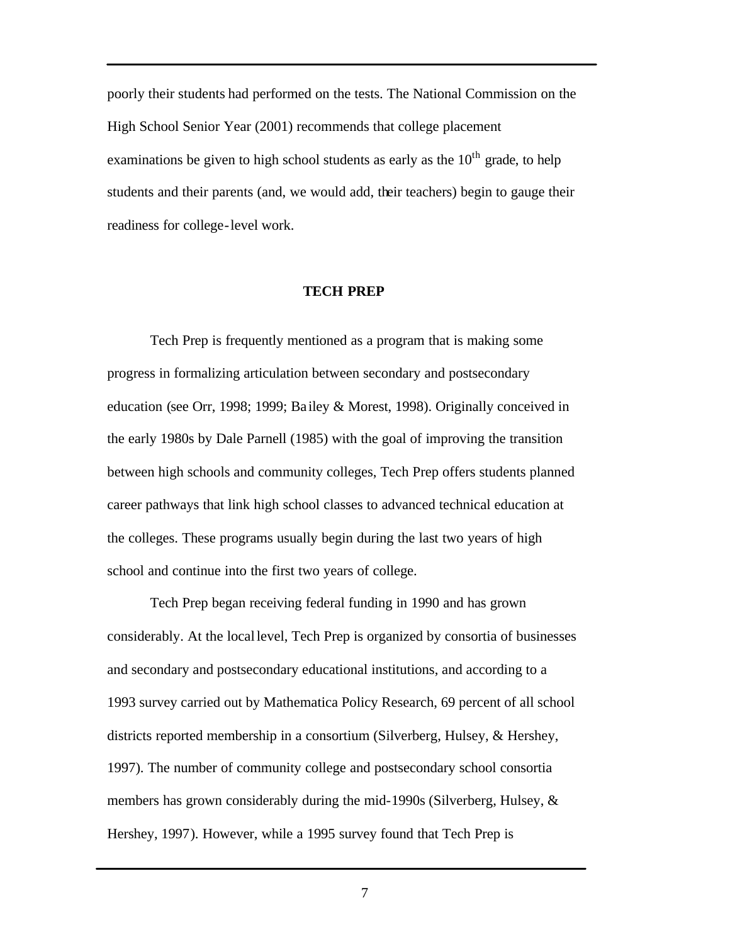poorly their students had performed on the tests. The National Commission on the High School Senior Year (2001) recommends that college placement examinations be given to high school students as early as the  $10<sup>th</sup>$  grade, to help students and their parents (and, we would add, their teachers) begin to gauge their readiness for college-level work.

#### **TECH PREP**

Tech Prep is frequently mentioned as a program that is making some progress in formalizing articulation between secondary and postsecondary education (see Orr, 1998; 1999; Ba iley & Morest, 1998). Originally conceived in the early 1980s by Dale Parnell (1985) with the goal of improving the transition between high schools and community colleges, Tech Prep offers students planned career pathways that link high school classes to advanced technical education at the colleges. These programs usually begin during the last two years of high school and continue into the first two years of college.

Tech Prep began receiving federal funding in 1990 and has grown considerably. At the local level, Tech Prep is organized by consortia of businesses and secondary and postsecondary educational institutions, and according to a 1993 survey carried out by Mathematica Policy Research, 69 percent of all school districts reported membership in a consortium (Silverberg, Hulsey, & Hershey, 1997). The number of community college and postsecondary school consortia members has grown considerably during the mid-1990s (Silverberg, Hulsey, & Hershey, 1997). However, while a 1995 survey found that Tech Prep is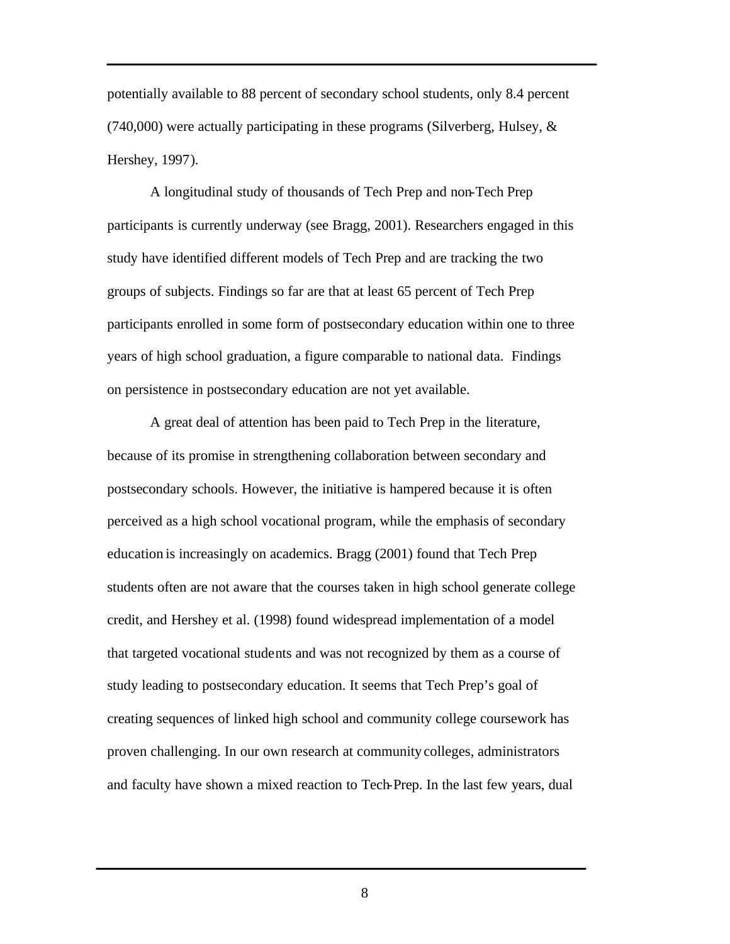potentially available to 88 percent of secondary school students, only 8.4 percent  $(740,000)$  were actually participating in these programs (Silverberg, Hulsey,  $\&$ Hershey, 1997).

A longitudinal study of thousands of Tech Prep and non-Tech Prep participants is currently underway (see Bragg, 2001). Researchers engaged in this study have identified different models of Tech Prep and are tracking the two groups of subjects. Findings so far are that at least 65 percent of Tech Prep participants enrolled in some form of postsecondary education within one to three years of high school graduation, a figure comparable to national data. Findings on persistence in postsecondary education are not yet available.

A great deal of attention has been paid to Tech Prep in the literature, because of its promise in strengthening collaboration between secondary and postsecondary schools. However, the initiative is hampered because it is often perceived as a high school vocational program, while the emphasis of secondary education is increasingly on academics. Bragg (2001) found that Tech Prep students often are not aware that the courses taken in high school generate college credit, and Hershey et al. (1998) found widespread implementation of a model that targeted vocational students and was not recognized by them as a course of study leading to postsecondary education. It seems that Tech Prep's goal of creating sequences of linked high school and community college coursework has proven challenging. In our own research at community colleges, administrators and faculty have shown a mixed reaction to Tech-Prep. In the last few years, dual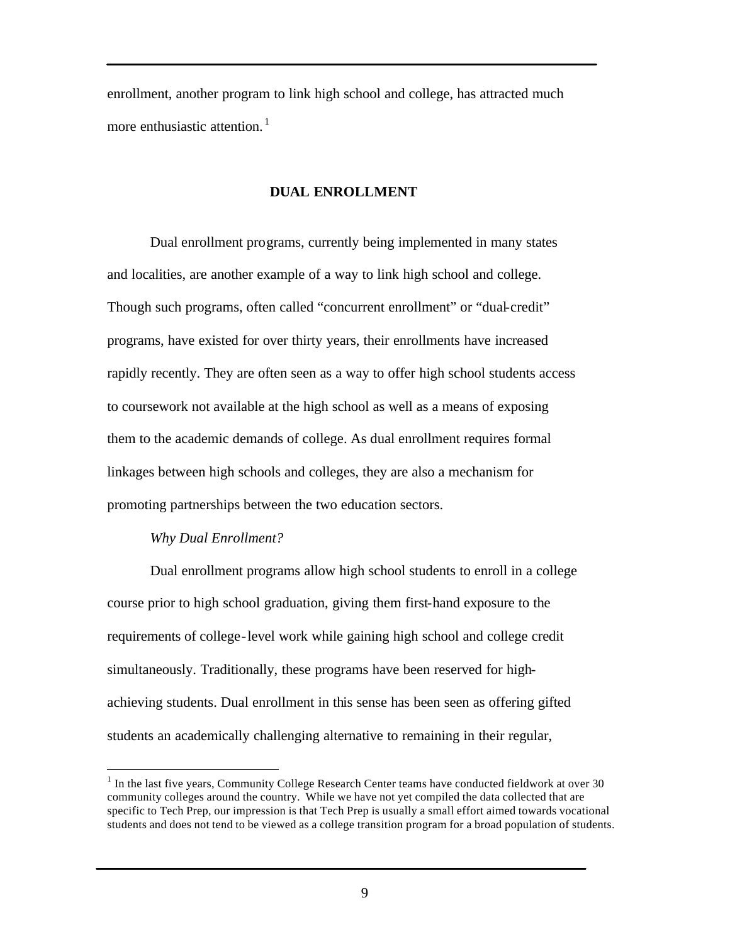enrollment, another program to link high school and college, has attracted much more enthusiastic attention.<sup>1</sup>

#### **DUAL ENROLLMENT**

Dual enrollment programs, currently being implemented in many states and localities, are another example of a way to link high school and college. Though such programs, often called "concurrent enrollment" or "dual-credit" programs, have existed for over thirty years, their enrollments have increased rapidly recently. They are often seen as a way to offer high school students access to coursework not available at the high school as well as a means of exposing them to the academic demands of college. As dual enrollment requires formal linkages between high schools and colleges, they are also a mechanism for promoting partnerships between the two education sectors.

#### *Why Dual Enrollment?*

 $\overline{a}$ 

Dual enrollment programs allow high school students to enroll in a college course prior to high school graduation, giving them first-hand exposure to the requirements of college-level work while gaining high school and college credit simultaneously. Traditionally, these programs have been reserved for highachieving students. Dual enrollment in this sense has been seen as offering gifted students an academically challenging alternative to remaining in their regular,

 $1$  In the last five years, Community College Research Center teams have conducted fieldwork at over 30 community colleges around the country. While we have not yet compiled the data collected that are specific to Tech Prep, our impression is that Tech Prep is usually a small effort aimed towards vocational students and does not tend to be viewed as a college transition program for a broad population of students.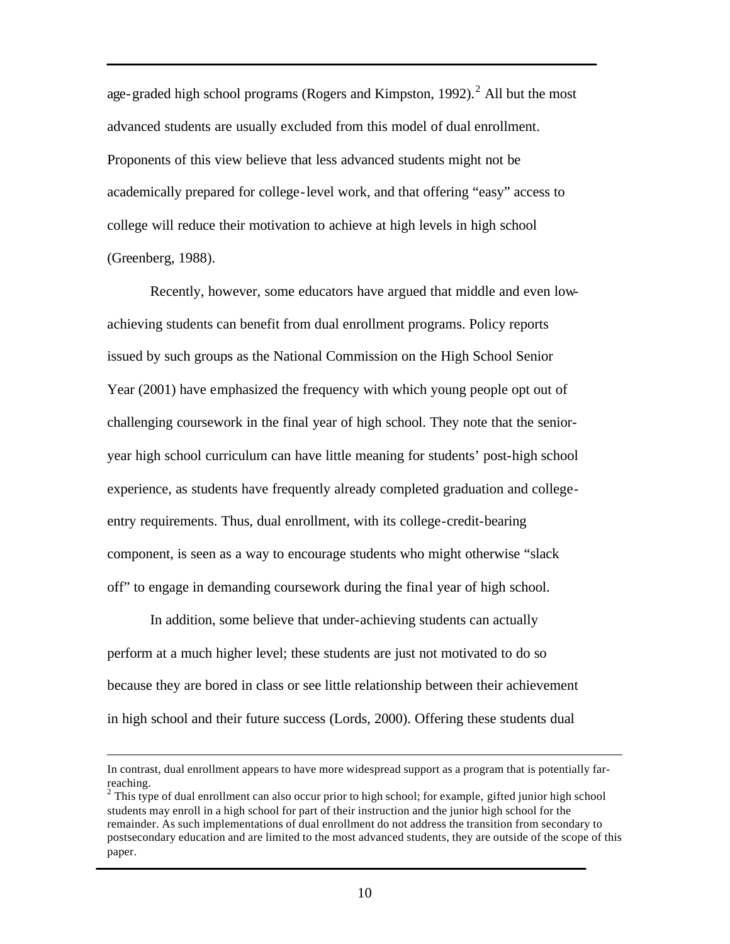age-graded high school programs (Rogers and Kimpston, 1992).<sup>2</sup> All but the most advanced students are usually excluded from this model of dual enrollment. Proponents of this view believe that less advanced students might not be academically prepared for college-level work, and that offering "easy" access to college will reduce their motivation to achieve at high levels in high school (Greenberg, 1988).

Recently, however, some educators have argued that middle and even lowachieving students can benefit from dual enrollment programs. Policy reports issued by such groups as the National Commission on the High School Senior Year (2001) have emphasized the frequency with which young people opt out of challenging coursework in the final year of high school. They note that the senioryear high school curriculum can have little meaning for students' post-high school experience, as students have frequently already completed graduation and collegeentry requirements. Thus, dual enrollment, with its college-credit-bearing component, is seen as a way to encourage students who might otherwise "slack off" to engage in demanding coursework during the final year of high school.

In addition, some believe that under-achieving students can actually perform at a much higher level; these students are just not motivated to do so because they are bored in class or see little relationship between their achievement in high school and their future success (Lords, 2000). Offering these students dual

 $\overline{a}$ 

In contrast, dual enrollment appears to have more widespread support as a program that is potentially farreaching.

 $2$  This type of dual enrollment can also occur prior to high school; for example, gifted junior high school students may enroll in a high school for part of their instruction and the junior high school for the remainder. As such implementations of dual enrollment do not address the transition from secondary to postsecondary education and are limited to the most advanced students, they are outside of the scope of this paper.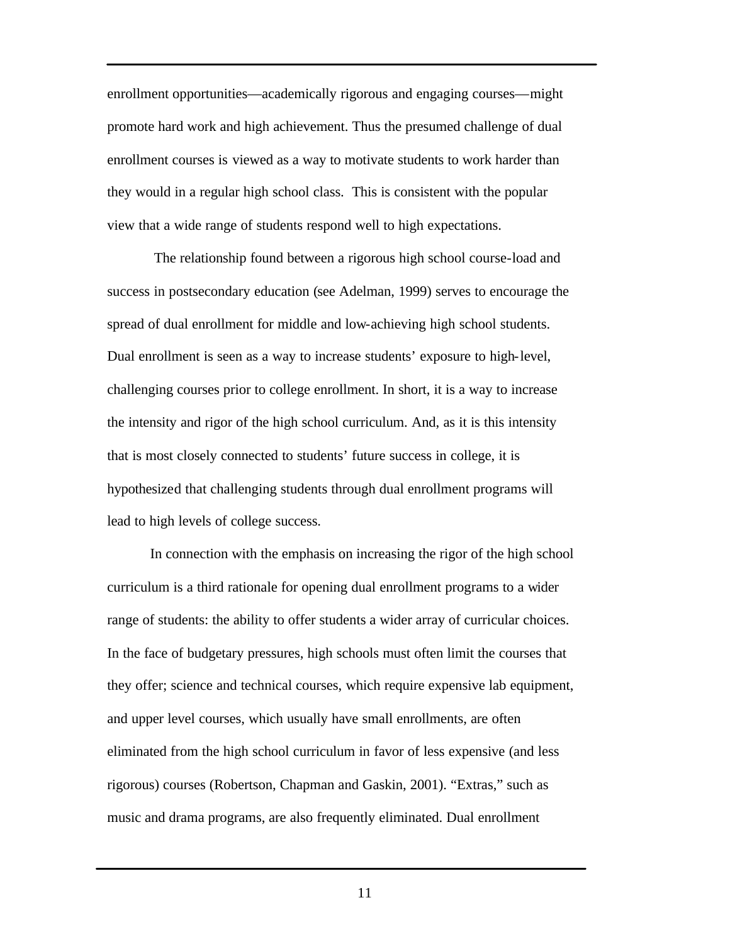enrollment opportunities—academically rigorous and engaging courses—might promote hard work and high achievement. Thus the presumed challenge of dual enrollment courses is viewed as a way to motivate students to work harder than they would in a regular high school class. This is consistent with the popular view that a wide range of students respond well to high expectations.

 The relationship found between a rigorous high school course-load and success in postsecondary education (see Adelman, 1999) serves to encourage the spread of dual enrollment for middle and low-achieving high school students. Dual enrollment is seen as a way to increase students' exposure to high-level, challenging courses prior to college enrollment. In short, it is a way to increase the intensity and rigor of the high school curriculum. And, as it is this intensity that is most closely connected to students' future success in college, it is hypothesized that challenging students through dual enrollment programs will lead to high levels of college success.

In connection with the emphasis on increasing the rigor of the high school curriculum is a third rationale for opening dual enrollment programs to a wider range of students: the ability to offer students a wider array of curricular choices. In the face of budgetary pressures, high schools must often limit the courses that they offer; science and technical courses, which require expensive lab equipment, and upper level courses, which usually have small enrollments, are often eliminated from the high school curriculum in favor of less expensive (and less rigorous) courses (Robertson, Chapman and Gaskin, 2001). "Extras," such as music and drama programs, are also frequently eliminated. Dual enrollment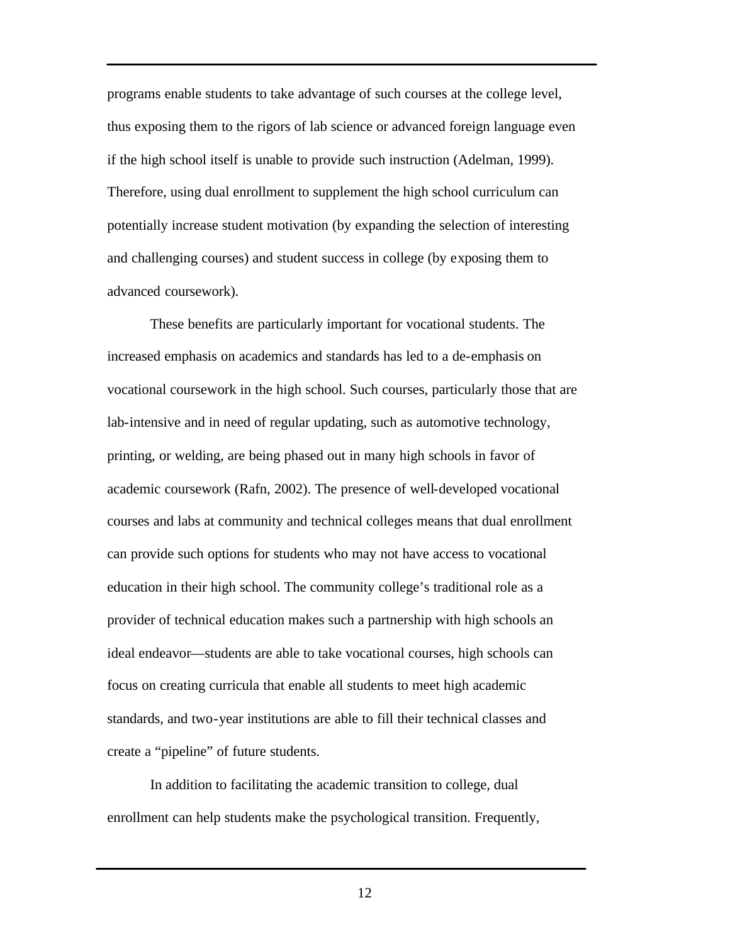programs enable students to take advantage of such courses at the college level, thus exposing them to the rigors of lab science or advanced foreign language even if the high school itself is unable to provide such instruction (Adelman, 1999). Therefore, using dual enrollment to supplement the high school curriculum can potentially increase student motivation (by expanding the selection of interesting and challenging courses) and student success in college (by exposing them to advanced coursework).

These benefits are particularly important for vocational students. The increased emphasis on academics and standards has led to a de-emphasis on vocational coursework in the high school. Such courses, particularly those that are lab-intensive and in need of regular updating, such as automotive technology, printing, or welding, are being phased out in many high schools in favor of academic coursework (Rafn, 2002). The presence of well-developed vocational courses and labs at community and technical colleges means that dual enrollment can provide such options for students who may not have access to vocational education in their high school. The community college's traditional role as a provider of technical education makes such a partnership with high schools an ideal endeavor—students are able to take vocational courses, high schools can focus on creating curricula that enable all students to meet high academic standards, and two-year institutions are able to fill their technical classes and create a "pipeline" of future students.

In addition to facilitating the academic transition to college, dual enrollment can help students make the psychological transition. Frequently,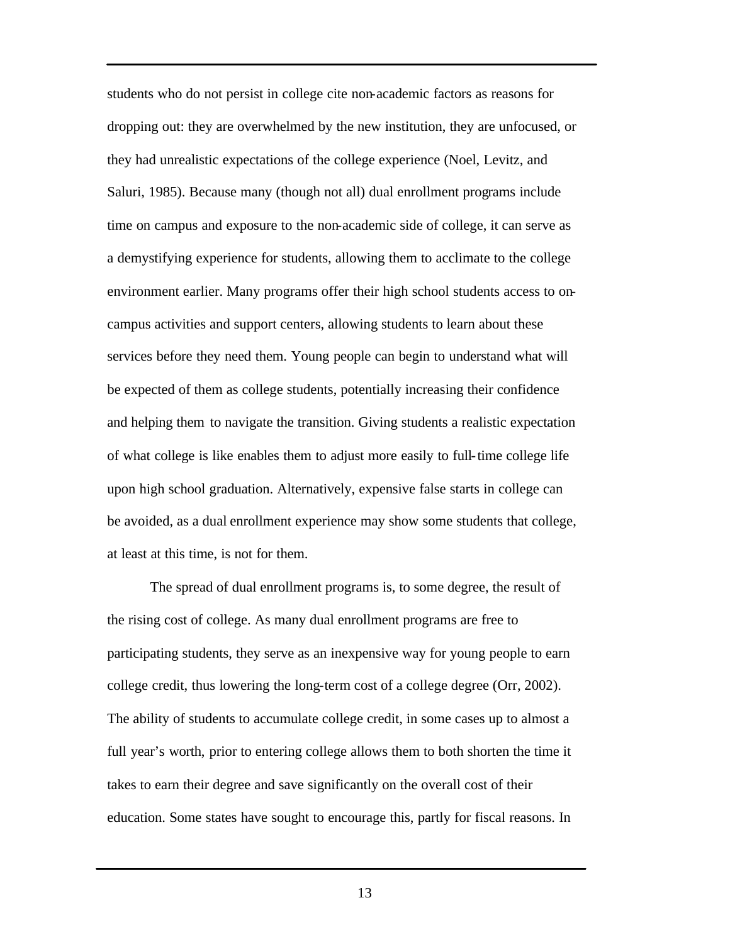students who do not persist in college cite non-academic factors as reasons for dropping out: they are overwhelmed by the new institution, they are unfocused, or they had unrealistic expectations of the college experience (Noel, Levitz, and Saluri, 1985). Because many (though not all) dual enrollment programs include time on campus and exposure to the non-academic side of college, it can serve as a demystifying experience for students, allowing them to acclimate to the college environment earlier. Many programs offer their high school students access to oncampus activities and support centers, allowing students to learn about these services before they need them. Young people can begin to understand what will be expected of them as college students, potentially increasing their confidence and helping them to navigate the transition. Giving students a realistic expectation of what college is like enables them to adjust more easily to full-time college life upon high school graduation. Alternatively, expensive false starts in college can be avoided, as a dual enrollment experience may show some students that college, at least at this time, is not for them.

The spread of dual enrollment programs is, to some degree, the result of the rising cost of college. As many dual enrollment programs are free to participating students, they serve as an inexpensive way for young people to earn college credit, thus lowering the long-term cost of a college degree (Orr, 2002). The ability of students to accumulate college credit, in some cases up to almost a full year's worth, prior to entering college allows them to both shorten the time it takes to earn their degree and save significantly on the overall cost of their education. Some states have sought to encourage this, partly for fiscal reasons. In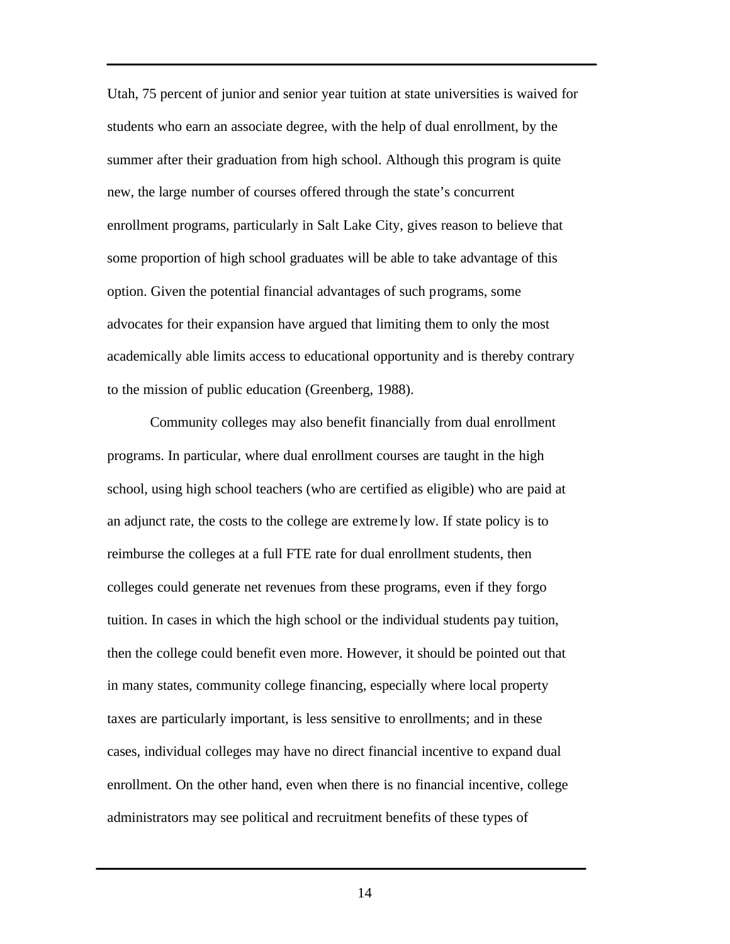Utah, 75 percent of junior and senior year tuition at state universities is waived for students who earn an associate degree, with the help of dual enrollment, by the summer after their graduation from high school. Although this program is quite new, the large number of courses offered through the state's concurrent enrollment programs, particularly in Salt Lake City, gives reason to believe that some proportion of high school graduates will be able to take advantage of this option. Given the potential financial advantages of such programs, some advocates for their expansion have argued that limiting them to only the most academically able limits access to educational opportunity and is thereby contrary to the mission of public education (Greenberg, 1988).

Community colleges may also benefit financially from dual enrollment programs. In particular, where dual enrollment courses are taught in the high school, using high school teachers (who are certified as eligible) who are paid at an adjunct rate, the costs to the college are extreme ly low. If state policy is to reimburse the colleges at a full FTE rate for dual enrollment students, then colleges could generate net revenues from these programs, even if they forgo tuition. In cases in which the high school or the individual students pay tuition, then the college could benefit even more. However, it should be pointed out that in many states, community college financing, especially where local property taxes are particularly important, is less sensitive to enrollments; and in these cases, individual colleges may have no direct financial incentive to expand dual enrollment. On the other hand, even when there is no financial incentive, college administrators may see political and recruitment benefits of these types of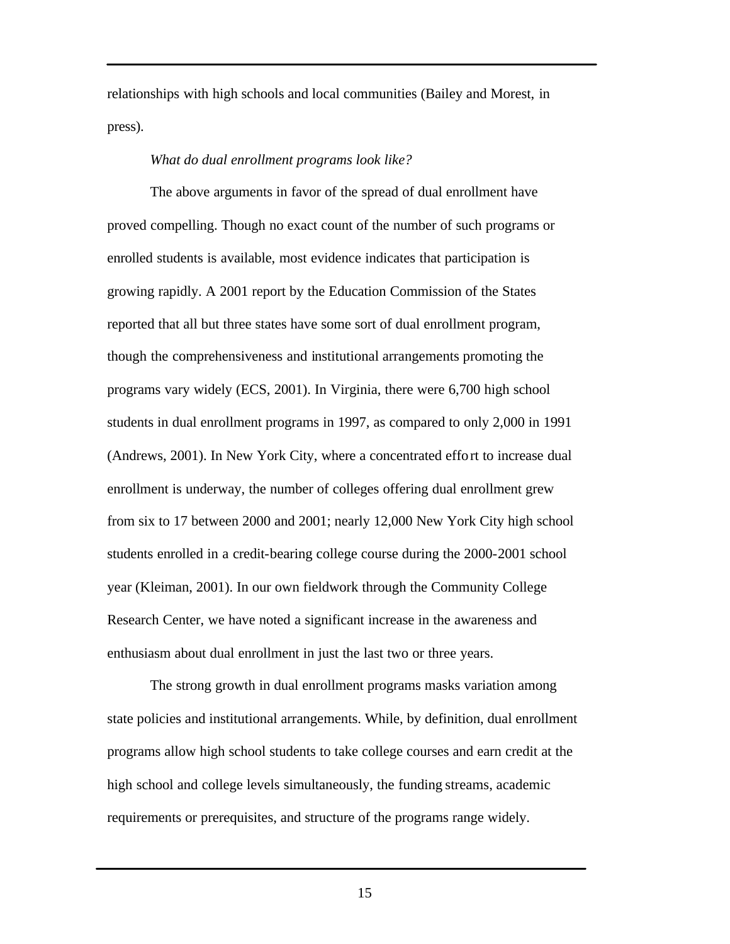relationships with high schools and local communities (Bailey and Morest, in press).

#### *What do dual enrollment programs look like?*

The above arguments in favor of the spread of dual enrollment have proved compelling. Though no exact count of the number of such programs or enrolled students is available, most evidence indicates that participation is growing rapidly. A 2001 report by the Education Commission of the States reported that all but three states have some sort of dual enrollment program, though the comprehensiveness and institutional arrangements promoting the programs vary widely (ECS, 2001). In Virginia, there were 6,700 high school students in dual enrollment programs in 1997, as compared to only 2,000 in 1991 (Andrews, 2001). In New York City, where a concentrated effort to increase dual enrollment is underway, the number of colleges offering dual enrollment grew from six to 17 between 2000 and 2001; nearly 12,000 New York City high school students enrolled in a credit-bearing college course during the 2000-2001 school year (Kleiman, 2001). In our own fieldwork through the Community College Research Center, we have noted a significant increase in the awareness and enthusiasm about dual enrollment in just the last two or three years.

The strong growth in dual enrollment programs masks variation among state policies and institutional arrangements. While, by definition, dual enrollment programs allow high school students to take college courses and earn credit at the high school and college levels simultaneously, the funding streams, academic requirements or prerequisites, and structure of the programs range widely.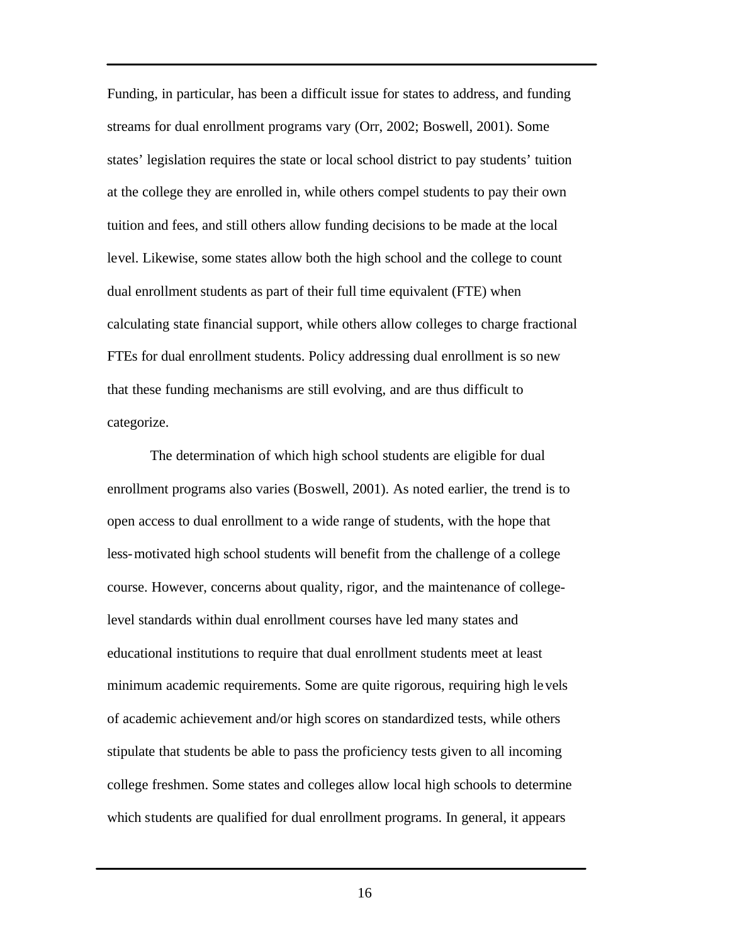Funding, in particular, has been a difficult issue for states to address, and funding streams for dual enrollment programs vary (Orr, 2002; Boswell, 2001). Some states' legislation requires the state or local school district to pay students' tuition at the college they are enrolled in, while others compel students to pay their own tuition and fees, and still others allow funding decisions to be made at the local level. Likewise, some states allow both the high school and the college to count dual enrollment students as part of their full time equivalent (FTE) when calculating state financial support, while others allow colleges to charge fractional FTEs for dual enrollment students. Policy addressing dual enrollment is so new that these funding mechanisms are still evolving, and are thus difficult to categorize.

The determination of which high school students are eligible for dual enrollment programs also varies (Boswell, 2001). As noted earlier, the trend is to open access to dual enrollment to a wide range of students, with the hope that less-motivated high school students will benefit from the challenge of a college course. However, concerns about quality, rigor, and the maintenance of collegelevel standards within dual enrollment courses have led many states and educational institutions to require that dual enrollment students meet at least minimum academic requirements. Some are quite rigorous, requiring high levels of academic achievement and/or high scores on standardized tests, while others stipulate that students be able to pass the proficiency tests given to all incoming college freshmen. Some states and colleges allow local high schools to determine which students are qualified for dual enrollment programs. In general, it appears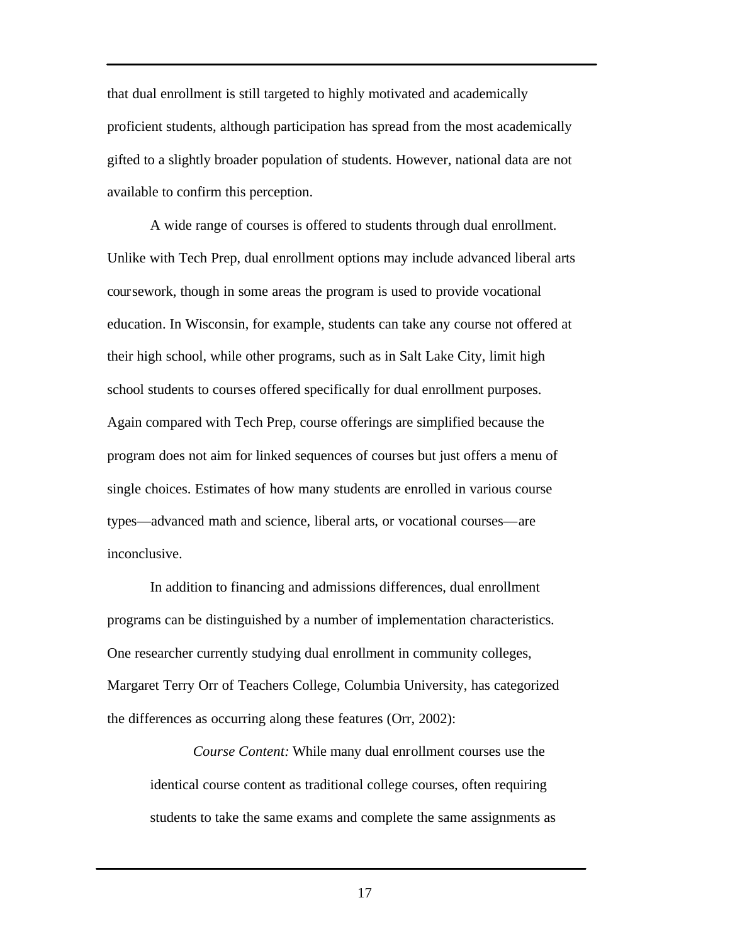that dual enrollment is still targeted to highly motivated and academically proficient students, although participation has spread from the most academically gifted to a slightly broader population of students. However, national data are not available to confirm this perception.

A wide range of courses is offered to students through dual enrollment. Unlike with Tech Prep, dual enrollment options may include advanced liberal arts coursework, though in some areas the program is used to provide vocational education. In Wisconsin, for example, students can take any course not offered at their high school, while other programs, such as in Salt Lake City, limit high school students to courses offered specifically for dual enrollment purposes. Again compared with Tech Prep, course offerings are simplified because the program does not aim for linked sequences of courses but just offers a menu of single choices. Estimates of how many students are enrolled in various course types—advanced math and science, liberal arts, or vocational courses—are inconclusive.

In addition to financing and admissions differences, dual enrollment programs can be distinguished by a number of implementation characteristics. One researcher currently studying dual enrollment in community colleges, Margaret Terry Orr of Teachers College, Columbia University, has categorized the differences as occurring along these features (Orr, 2002):

*Course Content:* While many dual enrollment courses use the identical course content as traditional college courses, often requiring students to take the same exams and complete the same assignments as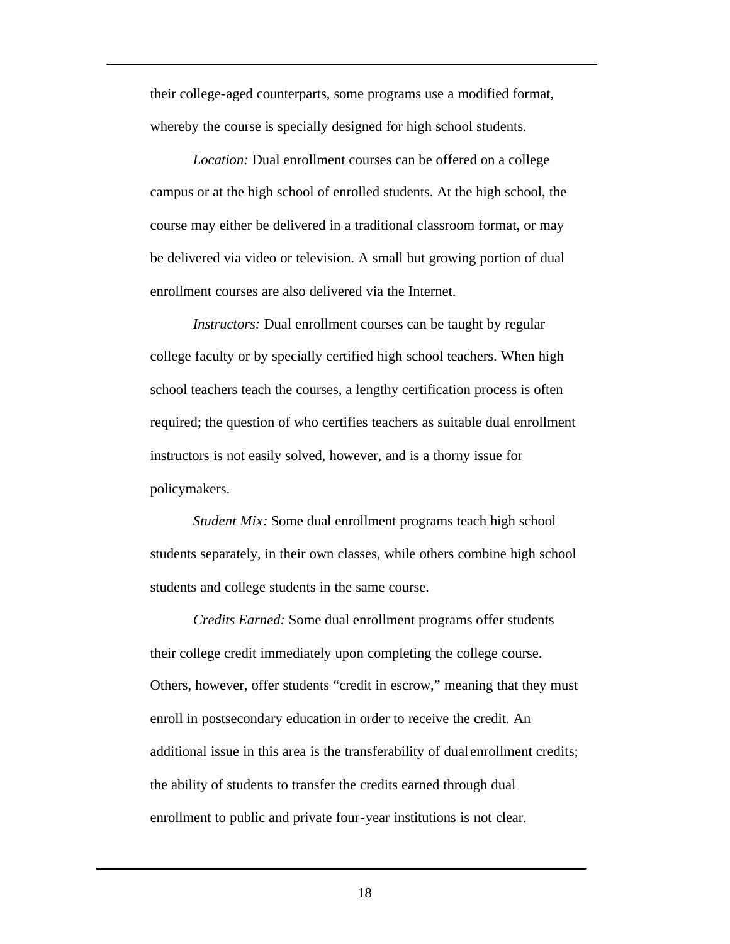their college-aged counterparts, some programs use a modified format, whereby the course is specially designed for high school students.

*Location:* Dual enrollment courses can be offered on a college campus or at the high school of enrolled students. At the high school, the course may either be delivered in a traditional classroom format, or may be delivered via video or television. A small but growing portion of dual enrollment courses are also delivered via the Internet.

*Instructors:* Dual enrollment courses can be taught by regular college faculty or by specially certified high school teachers. When high school teachers teach the courses, a lengthy certification process is often required; the question of who certifies teachers as suitable dual enrollment instructors is not easily solved, however, and is a thorny issue for policymakers.

*Student Mix:* Some dual enrollment programs teach high school students separately, in their own classes, while others combine high school students and college students in the same course.

*Credits Earned:* Some dual enrollment programs offer students their college credit immediately upon completing the college course. Others, however, offer students "credit in escrow," meaning that they must enroll in postsecondary education in order to receive the credit. An additional issue in this area is the transferability of dual enrollment credits; the ability of students to transfer the credits earned through dual enrollment to public and private four-year institutions is not clear.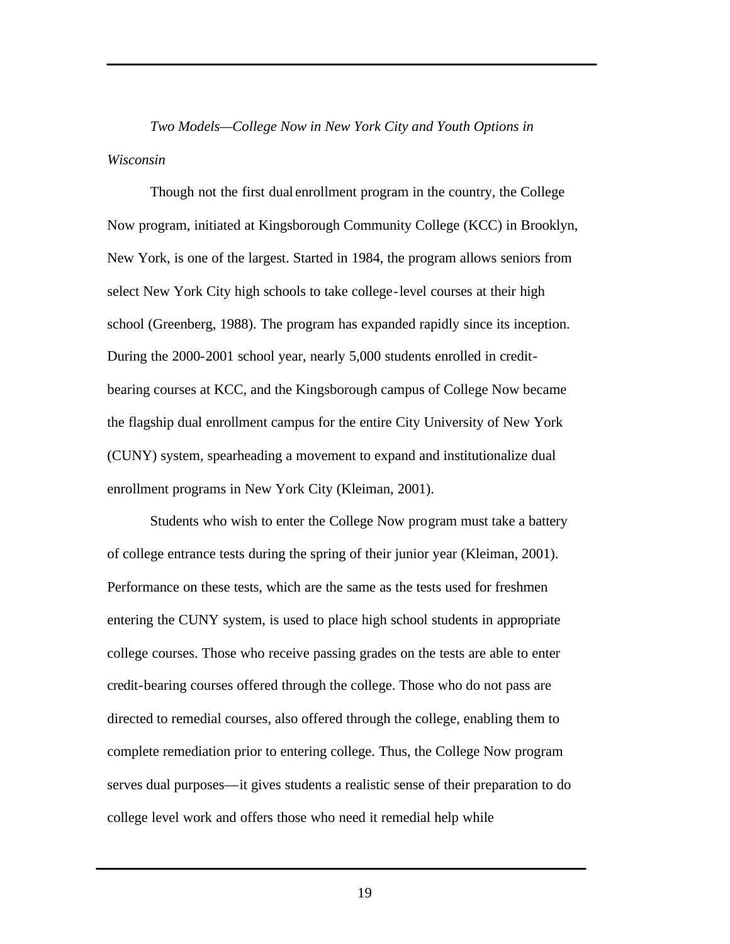*Two Models—College Now in New York City and Youth Options in Wisconsin*

Though not the first dual enrollment program in the country, the College Now program, initiated at Kingsborough Community College (KCC) in Brooklyn, New York, is one of the largest. Started in 1984, the program allows seniors from select New York City high schools to take college-level courses at their high school (Greenberg, 1988). The program has expanded rapidly since its inception. During the 2000-2001 school year, nearly 5,000 students enrolled in creditbearing courses at KCC, and the Kingsborough campus of College Now became the flagship dual enrollment campus for the entire City University of New York (CUNY) system, spearheading a movement to expand and institutionalize dual enrollment programs in New York City (Kleiman, 2001).

Students who wish to enter the College Now program must take a battery of college entrance tests during the spring of their junior year (Kleiman, 2001). Performance on these tests, which are the same as the tests used for freshmen entering the CUNY system, is used to place high school students in appropriate college courses. Those who receive passing grades on the tests are able to enter credit-bearing courses offered through the college. Those who do not pass are directed to remedial courses, also offered through the college, enabling them to complete remediation prior to entering college. Thus, the College Now program serves dual purposes—it gives students a realistic sense of their preparation to do college level work and offers those who need it remedial help while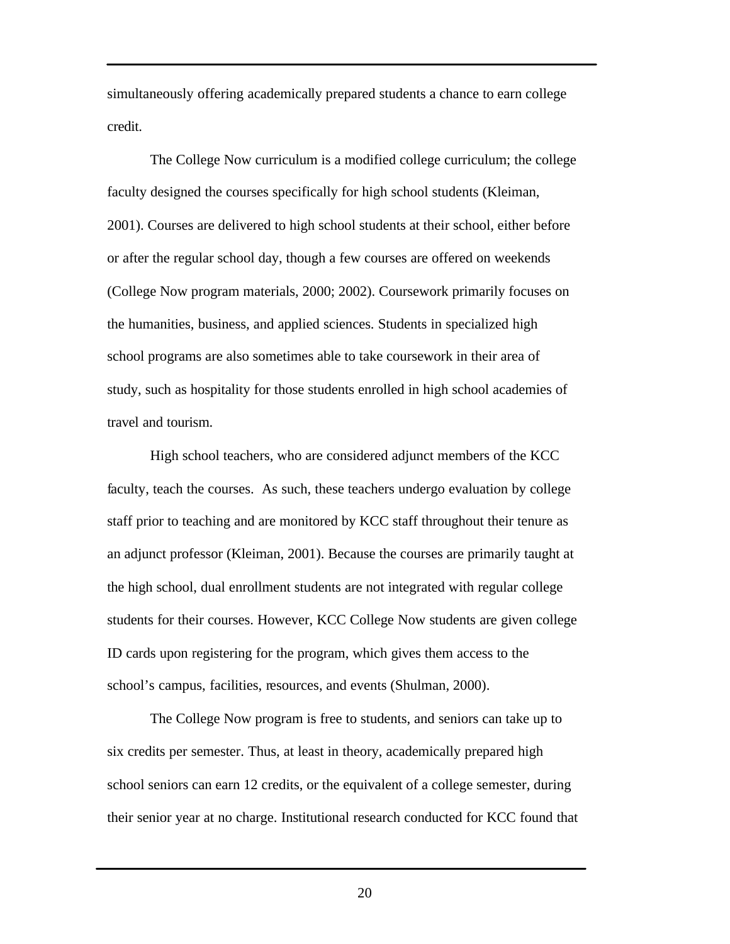simultaneously offering academically prepared students a chance to earn college credit.

The College Now curriculum is a modified college curriculum; the college faculty designed the courses specifically for high school students (Kleiman, 2001). Courses are delivered to high school students at their school, either before or after the regular school day, though a few courses are offered on weekends (College Now program materials, 2000; 2002). Coursework primarily focuses on the humanities, business, and applied sciences. Students in specialized high school programs are also sometimes able to take coursework in their area of study, such as hospitality for those students enrolled in high school academies of travel and tourism.

High school teachers, who are considered adjunct members of the KCC faculty, teach the courses. As such, these teachers undergo evaluation by college staff prior to teaching and are monitored by KCC staff throughout their tenure as an adjunct professor (Kleiman, 2001). Because the courses are primarily taught at the high school, dual enrollment students are not integrated with regular college students for their courses. However, KCC College Now students are given college ID cards upon registering for the program, which gives them access to the school's campus, facilities, resources, and events (Shulman, 2000).

The College Now program is free to students, and seniors can take up to six credits per semester. Thus, at least in theory, academically prepared high school seniors can earn 12 credits, or the equivalent of a college semester, during their senior year at no charge. Institutional research conducted for KCC found that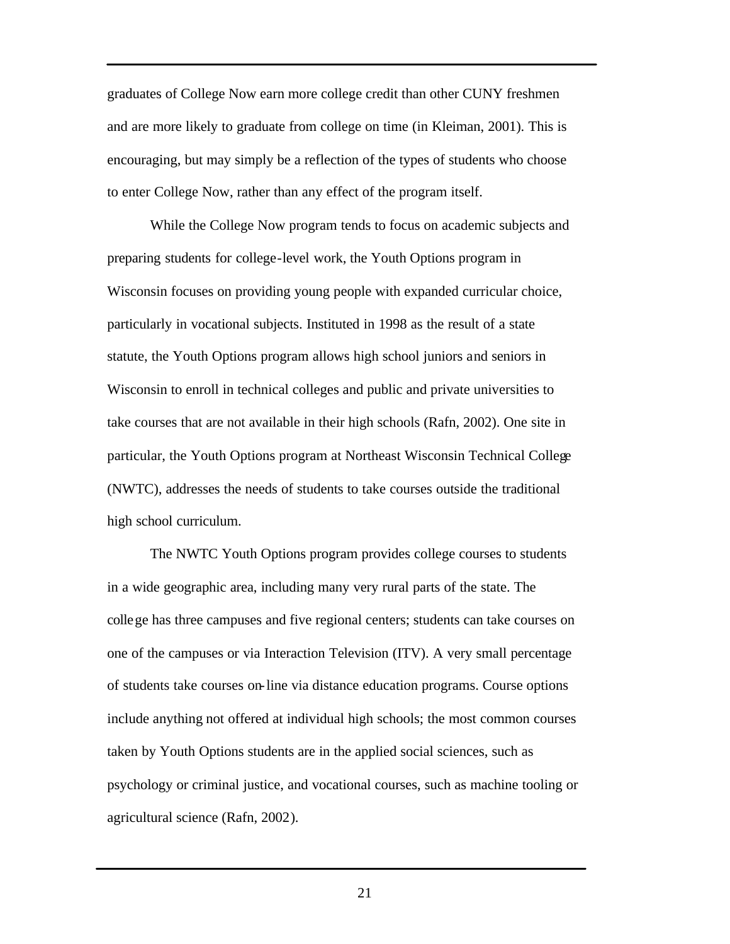graduates of College Now earn more college credit than other CUNY freshmen and are more likely to graduate from college on time (in Kleiman, 2001). This is encouraging, but may simply be a reflection of the types of students who choose to enter College Now, rather than any effect of the program itself.

While the College Now program tends to focus on academic subjects and preparing students for college-level work, the Youth Options program in Wisconsin focuses on providing young people with expanded curricular choice, particularly in vocational subjects. Instituted in 1998 as the result of a state statute, the Youth Options program allows high school juniors and seniors in Wisconsin to enroll in technical colleges and public and private universities to take courses that are not available in their high schools (Rafn, 2002). One site in particular, the Youth Options program at Northeast Wisconsin Technical College (NWTC), addresses the needs of students to take courses outside the traditional high school curriculum.

The NWTC Youth Options program provides college courses to students in a wide geographic area, including many very rural parts of the state. The college has three campuses and five regional centers; students can take courses on one of the campuses or via Interaction Television (ITV). A very small percentage of students take courses on-line via distance education programs. Course options include anything not offered at individual high schools; the most common courses taken by Youth Options students are in the applied social sciences, such as psychology or criminal justice, and vocational courses, such as machine tooling or agricultural science (Rafn, 2002).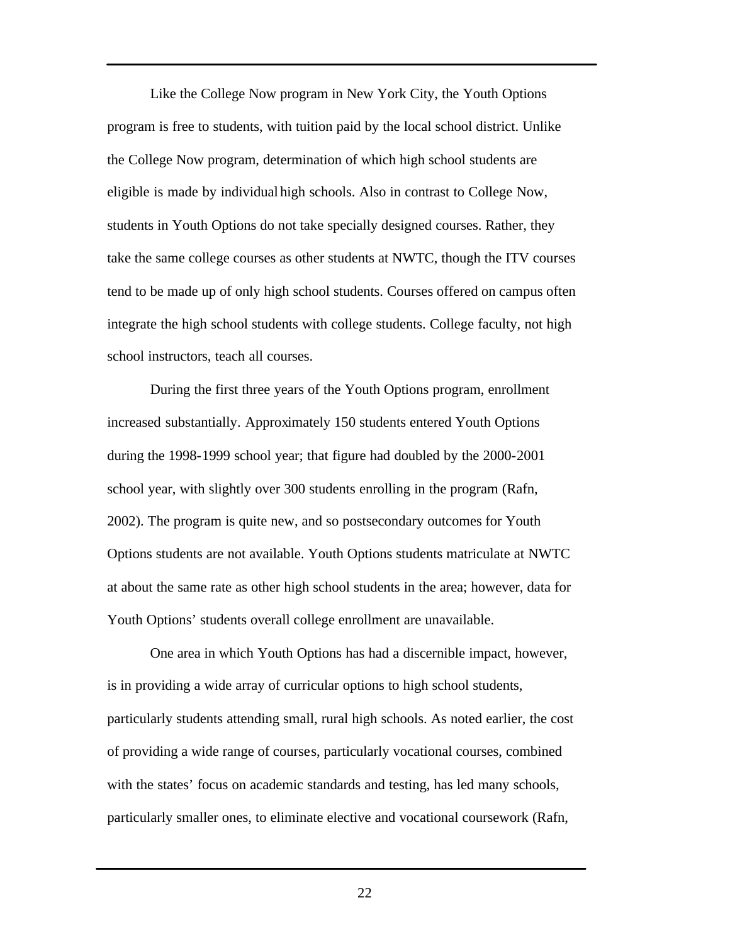Like the College Now program in New York City, the Youth Options program is free to students, with tuition paid by the local school district. Unlike the College Now program, determination of which high school students are eligible is made by individual high schools. Also in contrast to College Now, students in Youth Options do not take specially designed courses. Rather, they take the same college courses as other students at NWTC, though the ITV courses tend to be made up of only high school students. Courses offered on campus often integrate the high school students with college students. College faculty, not high school instructors, teach all courses.

During the first three years of the Youth Options program, enrollment increased substantially. Approximately 150 students entered Youth Options during the 1998-1999 school year; that figure had doubled by the 2000-2001 school year, with slightly over 300 students enrolling in the program (Rafn, 2002). The program is quite new, and so postsecondary outcomes for Youth Options students are not available. Youth Options students matriculate at NWTC at about the same rate as other high school students in the area; however, data for Youth Options' students overall college enrollment are unavailable.

One area in which Youth Options has had a discernible impact, however, is in providing a wide array of curricular options to high school students, particularly students attending small, rural high schools. As noted earlier, the cost of providing a wide range of courses, particularly vocational courses, combined with the states' focus on academic standards and testing, has led many schools, particularly smaller ones, to eliminate elective and vocational coursework (Rafn,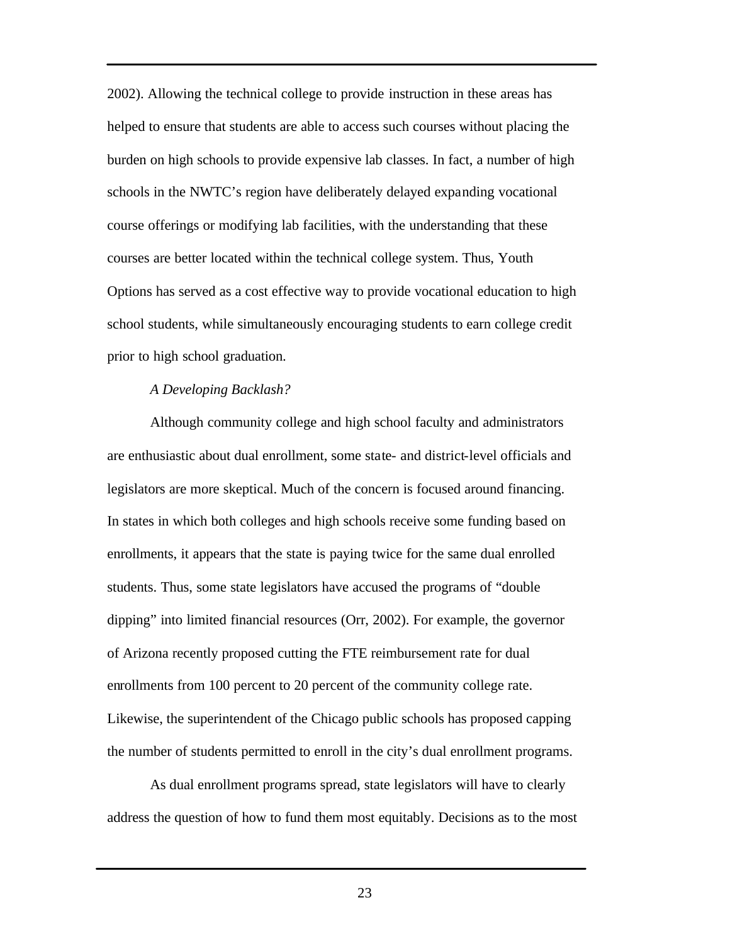2002). Allowing the technical college to provide instruction in these areas has helped to ensure that students are able to access such courses without placing the burden on high schools to provide expensive lab classes. In fact, a number of high schools in the NWTC's region have deliberately delayed expanding vocational course offerings or modifying lab facilities, with the understanding that these courses are better located within the technical college system. Thus, Youth Options has served as a cost effective way to provide vocational education to high school students, while simultaneously encouraging students to earn college credit prior to high school graduation.

#### *A Developing Backlash?*

Although community college and high school faculty and administrators are enthusiastic about dual enrollment, some state- and district-level officials and legislators are more skeptical. Much of the concern is focused around financing. In states in which both colleges and high schools receive some funding based on enrollments, it appears that the state is paying twice for the same dual enrolled students. Thus, some state legislators have accused the programs of "double dipping" into limited financial resources (Orr, 2002). For example, the governor of Arizona recently proposed cutting the FTE reimbursement rate for dual enrollments from 100 percent to 20 percent of the community college rate. Likewise, the superintendent of the Chicago public schools has proposed capping the number of students permitted to enroll in the city's dual enrollment programs.

As dual enrollment programs spread, state legislators will have to clearly address the question of how to fund them most equitably. Decisions as to the most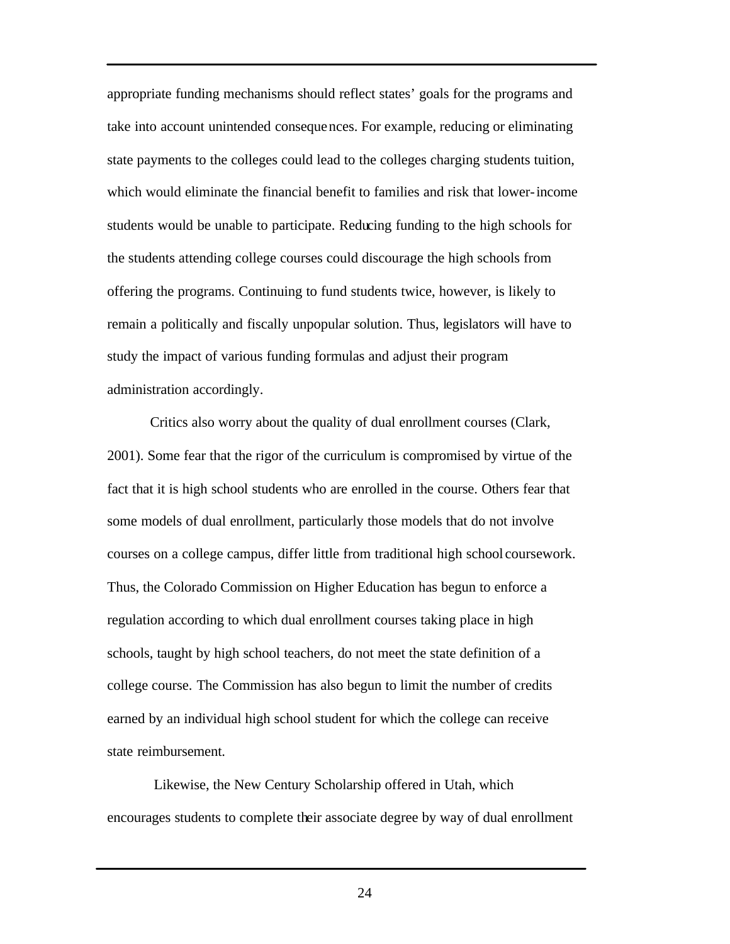appropriate funding mechanisms should reflect states' goals for the programs and take into account unintended consequences. For example, reducing or eliminating state payments to the colleges could lead to the colleges charging students tuition, which would eliminate the financial benefit to families and risk that lower-income students would be unable to participate. Reducing funding to the high schools for the students attending college courses could discourage the high schools from offering the programs. Continuing to fund students twice, however, is likely to remain a politically and fiscally unpopular solution. Thus, legislators will have to study the impact of various funding formulas and adjust their program administration accordingly.

Critics also worry about the quality of dual enrollment courses (Clark, 2001). Some fear that the rigor of the curriculum is compromised by virtue of the fact that it is high school students who are enrolled in the course. Others fear that some models of dual enrollment, particularly those models that do not involve courses on a college campus, differ little from traditional high school coursework. Thus, the Colorado Commission on Higher Education has begun to enforce a regulation according to which dual enrollment courses taking place in high schools, taught by high school teachers, do not meet the state definition of a college course. The Commission has also begun to limit the number of credits earned by an individual high school student for which the college can receive state reimbursement.

 Likewise, the New Century Scholarship offered in Utah, which encourages students to complete their associate degree by way of dual enrollment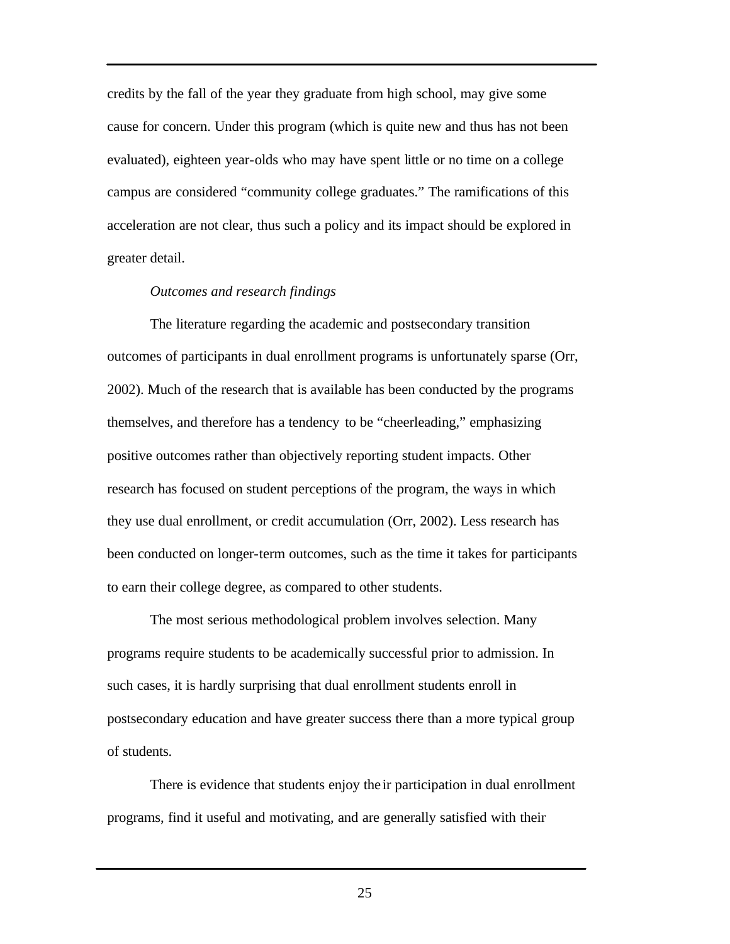credits by the fall of the year they graduate from high school, may give some cause for concern. Under this program (which is quite new and thus has not been evaluated), eighteen year-olds who may have spent little or no time on a college campus are considered "community college graduates." The ramifications of this acceleration are not clear, thus such a policy and its impact should be explored in greater detail.

#### *Outcomes and research findings*

The literature regarding the academic and postsecondary transition outcomes of participants in dual enrollment programs is unfortunately sparse (Orr, 2002). Much of the research that is available has been conducted by the programs themselves, and therefore has a tendency to be "cheerleading," emphasizing positive outcomes rather than objectively reporting student impacts. Other research has focused on student perceptions of the program, the ways in which they use dual enrollment, or credit accumulation (Orr, 2002). Less research has been conducted on longer-term outcomes, such as the time it takes for participants to earn their college degree, as compared to other students.

The most serious methodological problem involves selection. Many programs require students to be academically successful prior to admission. In such cases, it is hardly surprising that dual enrollment students enroll in postsecondary education and have greater success there than a more typical group of students.

There is evidence that students enjoy the ir participation in dual enrollment programs, find it useful and motivating, and are generally satisfied with their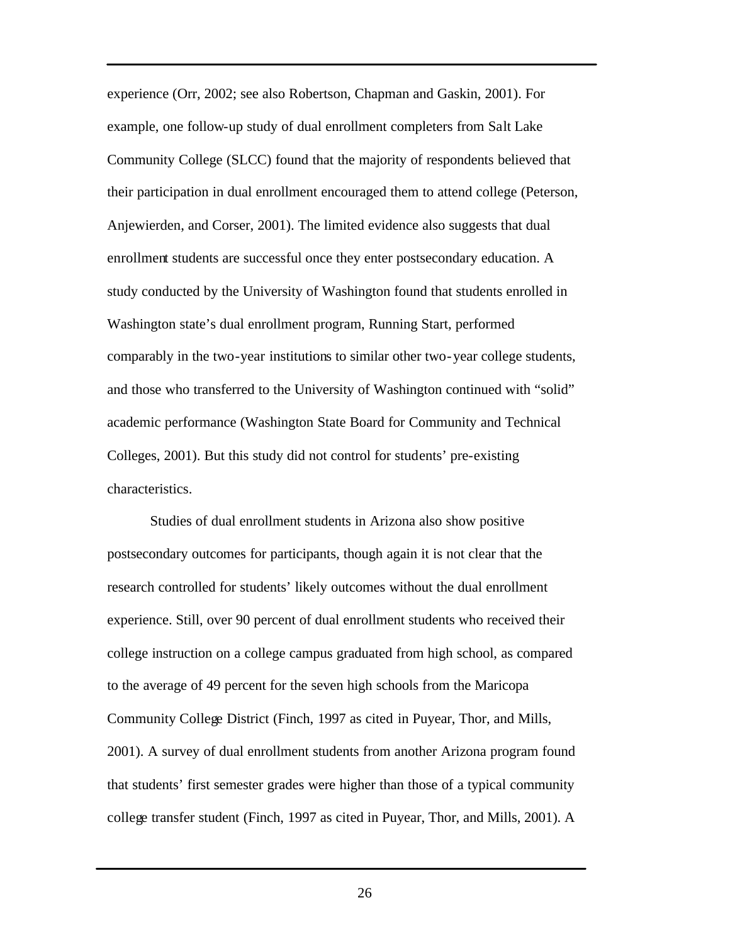experience (Orr, 2002; see also Robertson, Chapman and Gaskin, 2001). For example, one follow-up study of dual enrollment completers from Salt Lake Community College (SLCC) found that the majority of respondents believed that their participation in dual enrollment encouraged them to attend college (Peterson, Anjewierden, and Corser, 2001). The limited evidence also suggests that dual enrollment students are successful once they enter postsecondary education. A study conducted by the University of Washington found that students enrolled in Washington state's dual enrollment program, Running Start, performed comparably in the two-year institutions to similar other two-year college students, and those who transferred to the University of Washington continued with "solid" academic performance (Washington State Board for Community and Technical Colleges, 2001). But this study did not control for students' pre-existing characteristics.

Studies of dual enrollment students in Arizona also show positive postsecondary outcomes for participants, though again it is not clear that the research controlled for students' likely outcomes without the dual enrollment experience. Still, over 90 percent of dual enrollment students who received their college instruction on a college campus graduated from high school, as compared to the average of 49 percent for the seven high schools from the Maricopa Community College District (Finch, 1997 as cited in Puyear, Thor, and Mills, 2001). A survey of dual enrollment students from another Arizona program found that students' first semester grades were higher than those of a typical community college transfer student (Finch, 1997 as cited in Puyear, Thor, and Mills, 2001). A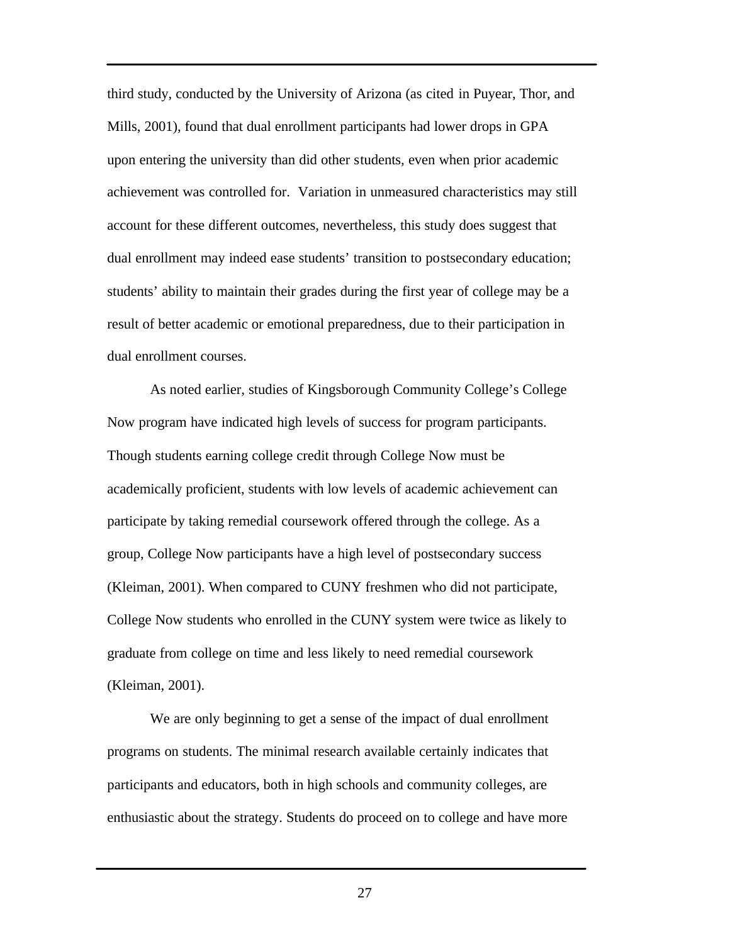third study, conducted by the University of Arizona (as cited in Puyear, Thor, and Mills, 2001), found that dual enrollment participants had lower drops in GPA upon entering the university than did other students, even when prior academic achievement was controlled for. Variation in unmeasured characteristics may still account for these different outcomes, nevertheless, this study does suggest that dual enrollment may indeed ease students' transition to postsecondary education; students' ability to maintain their grades during the first year of college may be a result of better academic or emotional preparedness, due to their participation in dual enrollment courses.

As noted earlier, studies of Kingsborough Community College's College Now program have indicated high levels of success for program participants. Though students earning college credit through College Now must be academically proficient, students with low levels of academic achievement can participate by taking remedial coursework offered through the college. As a group, College Now participants have a high level of postsecondary success (Kleiman, 2001). When compared to CUNY freshmen who did not participate, College Now students who enrolled in the CUNY system were twice as likely to graduate from college on time and less likely to need remedial coursework (Kleiman, 2001).

We are only beginning to get a sense of the impact of dual enrollment programs on students. The minimal research available certainly indicates that participants and educators, both in high schools and community colleges, are enthusiastic about the strategy. Students do proceed on to college and have more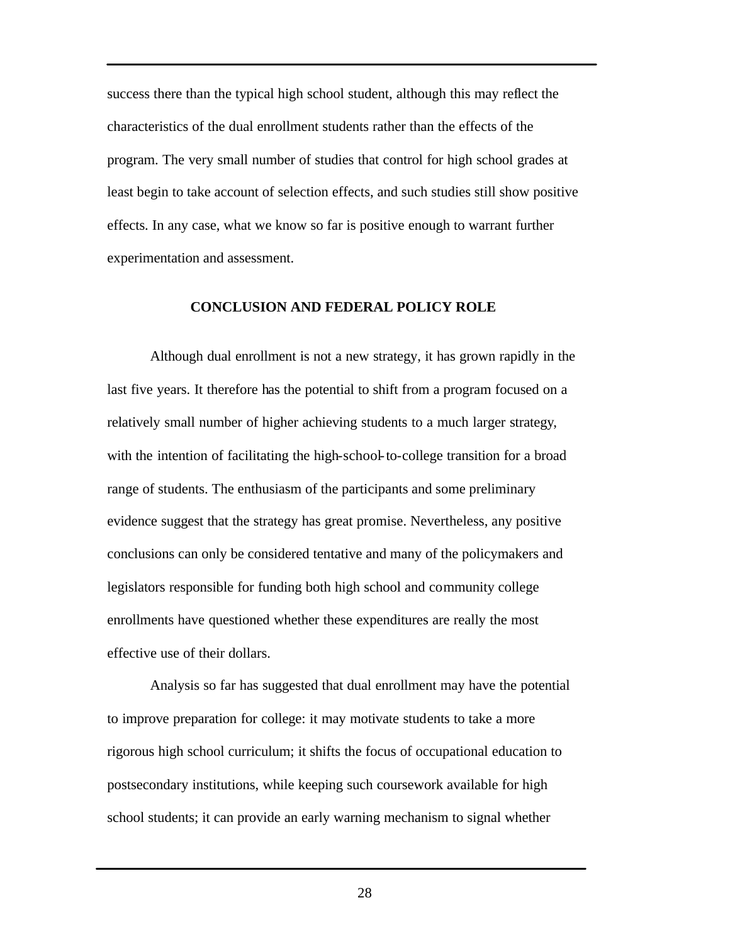success there than the typical high school student, although this may reflect the characteristics of the dual enrollment students rather than the effects of the program. The very small number of studies that control for high school grades at least begin to take account of selection effects, and such studies still show positive effects. In any case, what we know so far is positive enough to warrant further experimentation and assessment.

#### **CONCLUSION AND FEDERAL POLICY ROLE**

Although dual enrollment is not a new strategy, it has grown rapidly in the last five years. It therefore has the potential to shift from a program focused on a relatively small number of higher achieving students to a much larger strategy, with the intention of facilitating the high-school-to-college transition for a broad range of students. The enthusiasm of the participants and some preliminary evidence suggest that the strategy has great promise. Nevertheless, any positive conclusions can only be considered tentative and many of the policymakers and legislators responsible for funding both high school and community college enrollments have questioned whether these expenditures are really the most effective use of their dollars.

Analysis so far has suggested that dual enrollment may have the potential to improve preparation for college: it may motivate students to take a more rigorous high school curriculum; it shifts the focus of occupational education to postsecondary institutions, while keeping such coursework available for high school students; it can provide an early warning mechanism to signal whether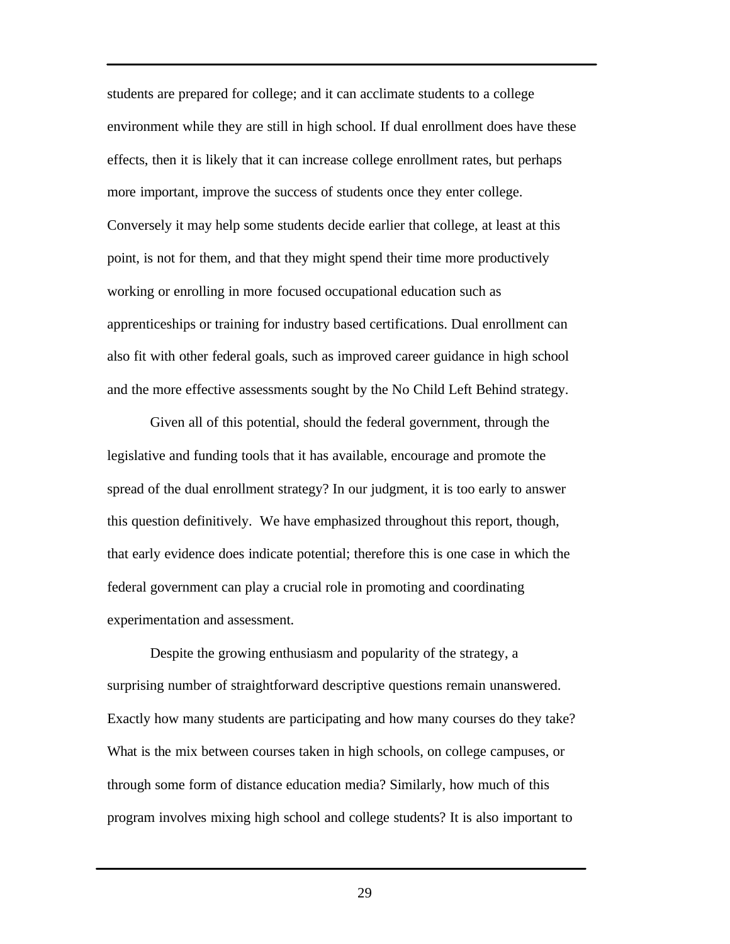students are prepared for college; and it can acclimate students to a college environment while they are still in high school. If dual enrollment does have these effects, then it is likely that it can increase college enrollment rates, but perhaps more important, improve the success of students once they enter college. Conversely it may help some students decide earlier that college, at least at this point, is not for them, and that they might spend their time more productively working or enrolling in more focused occupational education such as apprenticeships or training for industry based certifications. Dual enrollment can also fit with other federal goals, such as improved career guidance in high school and the more effective assessments sought by the No Child Left Behind strategy.

Given all of this potential, should the federal government, through the legislative and funding tools that it has available, encourage and promote the spread of the dual enrollment strategy? In our judgment, it is too early to answer this question definitively. We have emphasized throughout this report, though, that early evidence does indicate potential; therefore this is one case in which the federal government can play a crucial role in promoting and coordinating experimentation and assessment.

Despite the growing enthusiasm and popularity of the strategy, a surprising number of straightforward descriptive questions remain unanswered. Exactly how many students are participating and how many courses do they take? What is the mix between courses taken in high schools, on college campuses, or through some form of distance education media? Similarly, how much of this program involves mixing high school and college students? It is also important to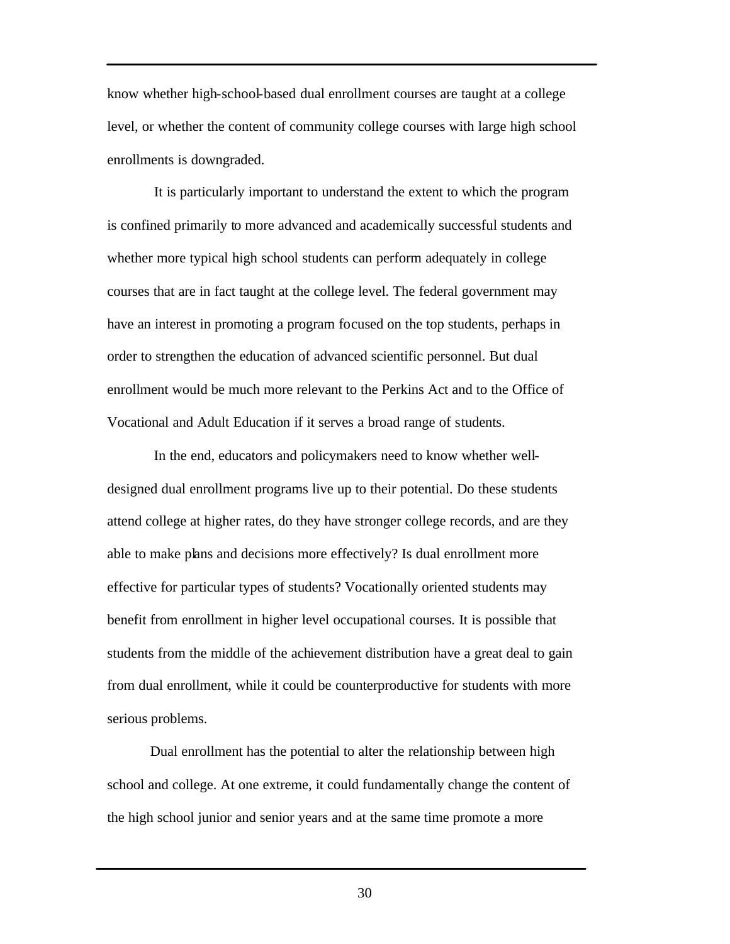know whether high-school-based dual enrollment courses are taught at a college level, or whether the content of community college courses with large high school enrollments is downgraded.

 It is particularly important to understand the extent to which the program is confined primarily to more advanced and academically successful students and whether more typical high school students can perform adequately in college courses that are in fact taught at the college level. The federal government may have an interest in promoting a program focused on the top students, perhaps in order to strengthen the education of advanced scientific personnel. But dual enrollment would be much more relevant to the Perkins Act and to the Office of Vocational and Adult Education if it serves a broad range of students.

 In the end, educators and policymakers need to know whether welldesigned dual enrollment programs live up to their potential. Do these students attend college at higher rates, do they have stronger college records, and are they able to make plans and decisions more effectively? Is dual enrollment more effective for particular types of students? Vocationally oriented students may benefit from enrollment in higher level occupational courses. It is possible that students from the middle of the achievement distribution have a great deal to gain from dual enrollment, while it could be counterproductive for students with more serious problems.

Dual enrollment has the potential to alter the relationship between high school and college. At one extreme, it could fundamentally change the content of the high school junior and senior years and at the same time promote a more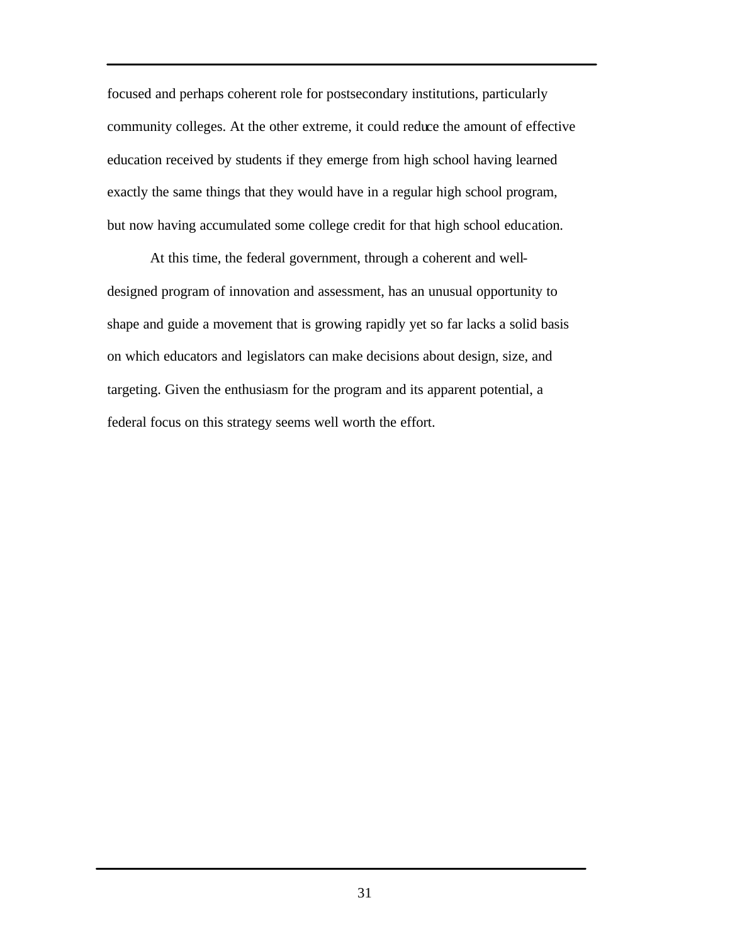focused and perhaps coherent role for postsecondary institutions, particularly community colleges. At the other extreme, it could reduce the amount of effective education received by students if they emerge from high school having learned exactly the same things that they would have in a regular high school program, but now having accumulated some college credit for that high school education.

At this time, the federal government, through a coherent and welldesigned program of innovation and assessment, has an unusual opportunity to shape and guide a movement that is growing rapidly yet so far lacks a solid basis on which educators and legislators can make decisions about design, size, and targeting. Given the enthusiasm for the program and its apparent potential, a federal focus on this strategy seems well worth the effort.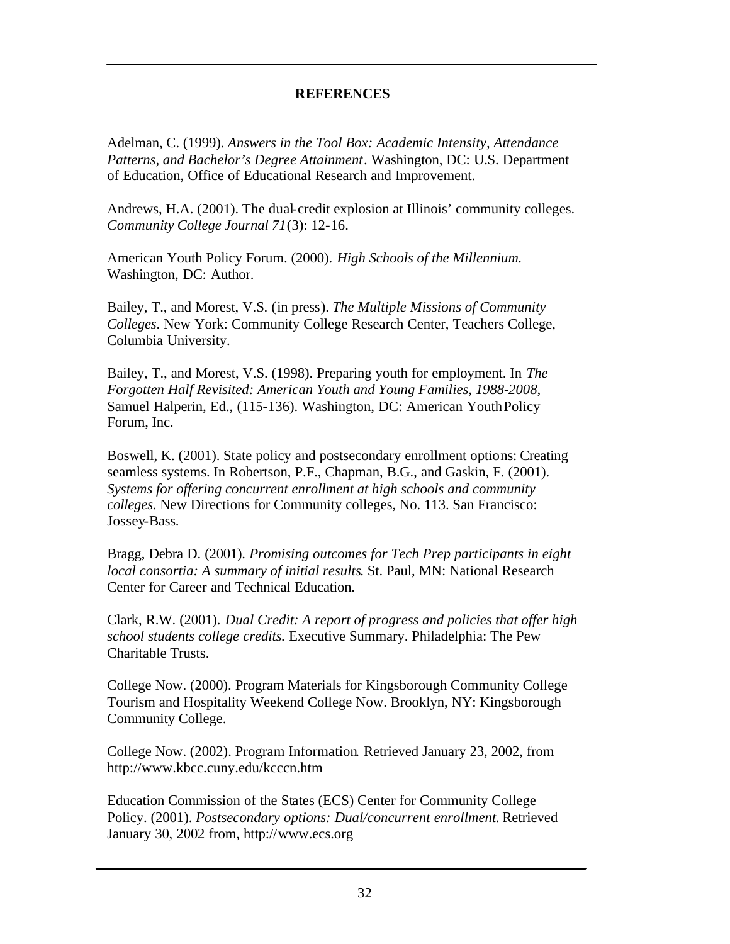## **REFERENCES**

Adelman, C. (1999). *Answers in the Tool Box: Academic Intensity, Attendance Patterns, and Bachelor's Degree Attainment*. Washington, DC: U.S. Department of Education, Office of Educational Research and Improvement.

Andrews, H.A. (2001). The dual-credit explosion at Illinois' community colleges. *Community College Journal 71*(3): 12-16.

American Youth Policy Forum. (2000). *High Schools of the Millennium.* Washington, DC: Author.

Bailey, T., and Morest, V.S. (in press). *The Multiple Missions of Community Colleges*. New York: Community College Research Center, Teachers College, Columbia University.

Bailey, T., and Morest, V.S. (1998). Preparing youth for employment. In *The Forgotten Half Revisited: American Youth and Young Families, 1988-2008*, Samuel Halperin, Ed., (115-136). Washington, DC: American Youth Policy Forum, Inc.

Boswell, K. (2001). State policy and postsecondary enrollment options: Creating seamless systems. In Robertson, P.F., Chapman, B.G., and Gaskin, F. (2001). *Systems for offering concurrent enrollment at high schools and community colleges.* New Directions for Community colleges, No. 113. San Francisco: Jossey-Bass.

Bragg, Debra D. (2001). *Promising outcomes for Tech Prep participants in eight local consortia: A summary of initial results*. St. Paul, MN: National Research Center for Career and Technical Education.

Clark, R.W. (2001). *Dual Credit: A report of progress and policies that offer high school students college credits.* Executive Summary. Philadelphia: The Pew Charitable Trusts.

College Now. (2000). Program Materials for Kingsborough Community College Tourism and Hospitality Weekend College Now. Brooklyn, NY: Kingsborough Community College.

College Now. (2002). Program Information. Retrieved January 23, 2002, from http://www.kbcc.cuny.edu/kcccn.htm

Education Commission of the States (ECS) Center for Community College Policy. (2001). *Postsecondary options: Dual/concurrent enrollment.* Retrieved January 30, 2002 from, http://www.ecs.org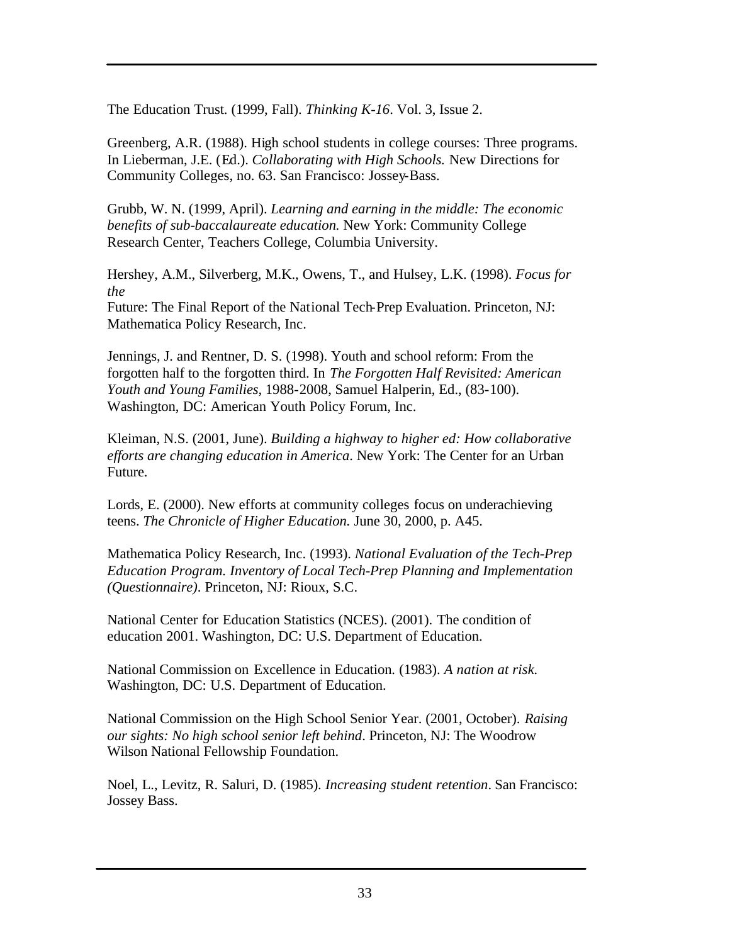The Education Trust. (1999, Fall). *Thinking K-16*. Vol. 3, Issue 2.

Greenberg, A.R. (1988). High school students in college courses: Three programs. In Lieberman, J.E. (Ed.). *Collaborating with High Schools.* New Directions for Community Colleges, no. 63. San Francisco: Jossey-Bass.

Grubb, W. N. (1999, April). *Learning and earning in the middle: The economic benefits of sub-baccalaureate education.* New York: Community College Research Center, Teachers College, Columbia University.

Hershey, A.M., Silverberg, M.K., Owens, T., and Hulsey, L.K. (1998). *Focus for the*  Future: The Final Report of the National Tech-Prep Evaluation. Princeton, NJ: Mathematica Policy Research, Inc.

Jennings, J. and Rentner, D. S. (1998). Youth and school reform: From the forgotten half to the forgotten third. In *The Forgotten Half Revisited: American Youth and Young Families*, 1988-2008, Samuel Halperin, Ed., (83-100). Washington, DC: American Youth Policy Forum, Inc.

Kleiman, N.S. (2001, June). *Building a highway to higher ed: How collaborative efforts are changing education in America*. New York: The Center for an Urban Future.

Lords, E. (2000). New efforts at community colleges focus on underachieving teens. *The Chronicle of Higher Education.* June 30, 2000, p. A45.

Mathematica Policy Research, Inc. (1993). *National Evaluation of the Tech-Prep Education Program. Inventory of Local Tech-Prep Planning and Implementation (Questionnaire)*. Princeton, NJ: Rioux, S.C.

National Center for Education Statistics (NCES). (2001). The condition of education 2001. Washington, DC: U.S. Department of Education.

National Commission on Excellence in Education. (1983). *A nation at risk.* Washington, DC: U.S. Department of Education.

National Commission on the High School Senior Year. (2001, October). *Raising our sights: No high school senior left behind*. Princeton, NJ: The Woodrow Wilson National Fellowship Foundation.

Noel, L., Levitz, R. Saluri, D. (1985). *Increasing student retention*. San Francisco: Jossey Bass.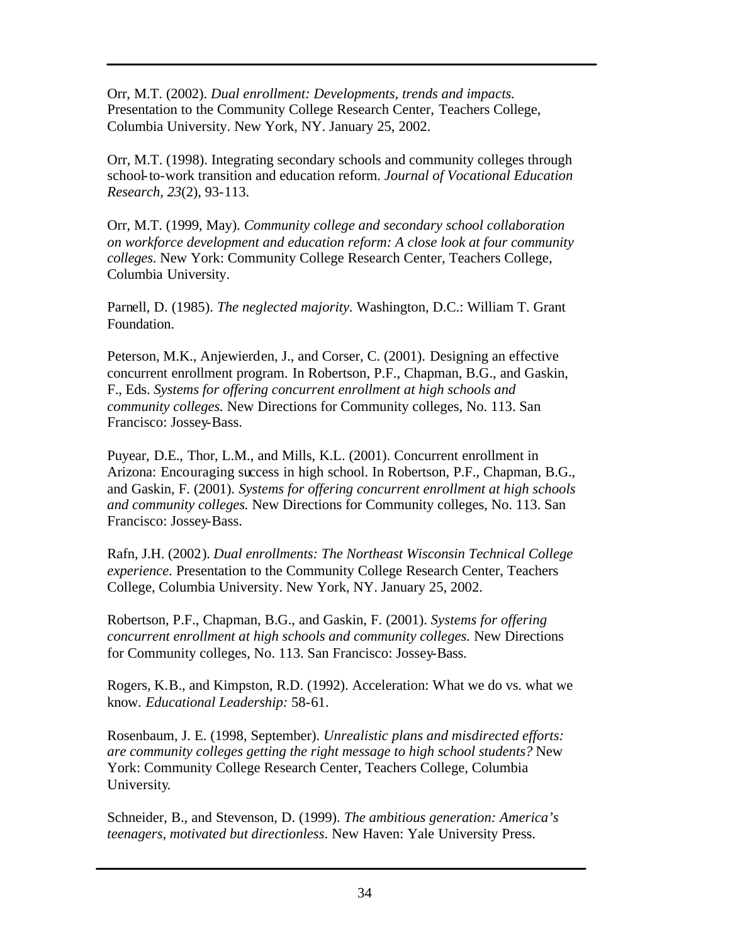Orr, M.T. (2002). *Dual enrollment: Developments, trends and impacts.* Presentation to the Community College Research Center, Teachers College, Columbia University. New York, NY. January 25, 2002.

Orr, M.T. (1998). Integrating secondary schools and community colleges through school-to-work transition and education reform. *Journal of Vocational Education Research, 23*(2), 93-113.

Orr, M.T. (1999, May). *Community college and secondary school collaboration on workforce development and education reform: A close look at four community colleges*. New York: Community College Research Center, Teachers College, Columbia University.

Parnell, D. (1985). *The neglected majority.* Washington, D.C.: William T. Grant Foundation.

Peterson, M.K., Anjewierden, J., and Corser, C. (2001). Designing an effective concurrent enrollment program. In Robertson, P.F., Chapman, B.G., and Gaskin, F., Eds. *Systems for offering concurrent enrollment at high schools and community colleges.* New Directions for Community colleges, No. 113. San Francisco: Jossey-Bass.

Puyear, D.E., Thor, L.M., and Mills, K.L. (2001). Concurrent enrollment in Arizona: Encouraging success in high school. In Robertson, P.F., Chapman, B.G., and Gaskin, F. (2001). *Systems for offering concurrent enrollment at high schools and community colleges.* New Directions for Community colleges, No. 113. San Francisco: Jossey-Bass.

Rafn, J.H. (2002). *Dual enrollments: The Northeast Wisconsin Technical College experience.* Presentation to the Community College Research Center, Teachers College, Columbia University. New York, NY. January 25, 2002.

Robertson, P.F., Chapman, B.G., and Gaskin, F. (2001). *Systems for offering concurrent enrollment at high schools and community colleges.* New Directions for Community colleges, No. 113. San Francisco: Jossey-Bass.

Rogers, K.B., and Kimpston, R.D. (1992). Acceleration: What we do vs. what we know. *Educational Leadership:* 58-61.

Rosenbaum, J. E. (1998, September). *Unrealistic plans and misdirected efforts: are community colleges getting the right message to high school students?* New York: Community College Research Center, Teachers College, Columbia University.

Schneider, B., and Stevenson, D. (1999). *The ambitious generation: America's teenagers, motivated but directionless*. New Haven: Yale University Press.